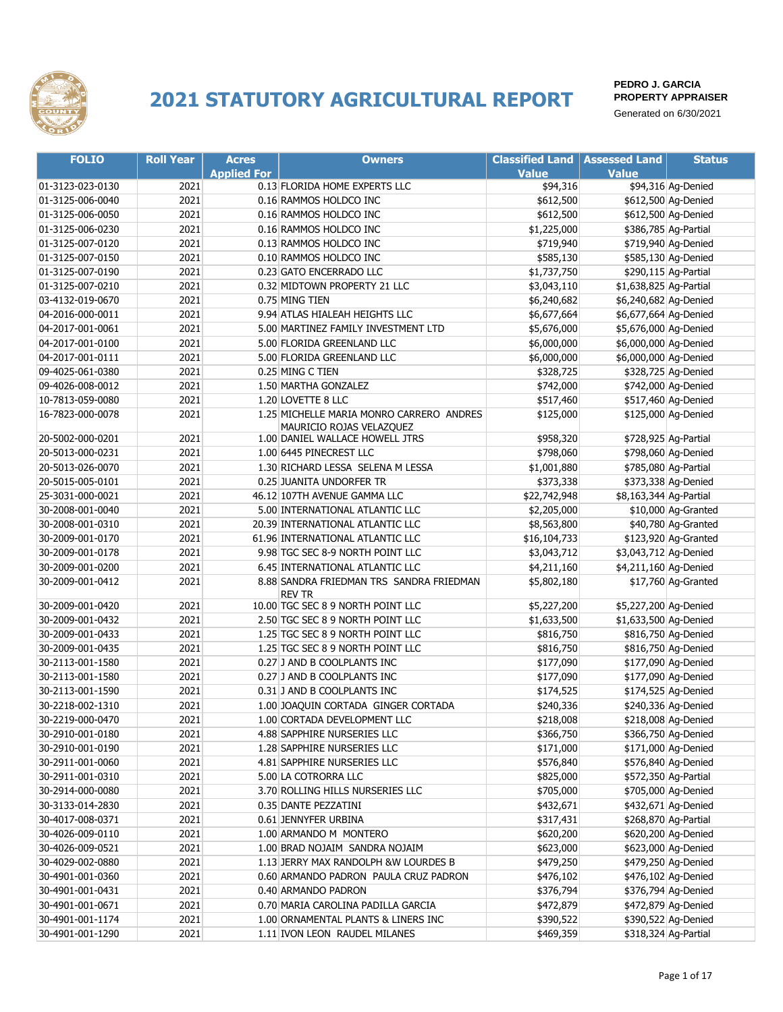

| <b>FOLIO</b>     | <b>Roll Year</b> | <b>Acres</b>       | <b>Owners</b>                                      | <b>Classified Land   Assessed Land</b> |                        | <b>Status</b>        |
|------------------|------------------|--------------------|----------------------------------------------------|----------------------------------------|------------------------|----------------------|
|                  |                  | <b>Applied For</b> |                                                    | <b>Value</b>                           | <b>Value</b>           |                      |
| 01-3123-023-0130 | 2021             |                    | 0.13 FLORIDA HOME EXPERTS LLC                      | \$94,316                               |                        | \$94,316 Ag-Denied   |
| 01-3125-006-0040 | 2021             |                    | 0.16 RAMMOS HOLDCO INC                             | \$612,500                              |                        | \$612,500 Ag-Denied  |
| 01-3125-006-0050 | 2021             |                    | 0.16 RAMMOS HOLDCO INC                             | \$612,500                              |                        | \$612,500 Ag-Denied  |
| 01-3125-006-0230 | 2021             |                    | 0.16 RAMMOS HOLDCO INC                             | \$1,225,000                            |                        | \$386,785 Ag-Partial |
| 01-3125-007-0120 | 2021             |                    | 0.13 RAMMOS HOLDCO INC                             | \$719,940                              |                        | \$719,940 Ag-Denied  |
| 01-3125-007-0150 | 2021             |                    | 0.10 RAMMOS HOLDCO INC                             | \$585,130                              |                        | \$585,130 Ag-Denied  |
| 01-3125-007-0190 | 2021             |                    | 0.23 GATO ENCERRADO LLC                            | \$1,737,750                            |                        | \$290,115 Ag-Partial |
| 01-3125-007-0210 | 2021             |                    | 0.32 MIDTOWN PROPERTY 21 LLC                       | \$3,043,110                            | \$1,638,825 Ag-Partial |                      |
| 03-4132-019-0670 | 2021             |                    | 0.75 MING TIEN                                     | \$6,240,682                            | \$6,240,682 Ag-Denied  |                      |
| 04-2016-000-0011 | 2021             |                    | 9.94 ATLAS HIALEAH HEIGHTS LLC                     | \$6,677,664                            | \$6,677,664 Ag-Denied  |                      |
| 04-2017-001-0061 | 2021             |                    | 5.00 MARTINEZ FAMILY INVESTMENT LTD                | \$5,676,000                            | \$5,676,000 Ag-Denied  |                      |
| 04-2017-001-0100 | 2021             |                    | 5.00 FLORIDA GREENLAND LLC                         | \$6,000,000                            | \$6,000,000 Ag-Denied  |                      |
| 04-2017-001-0111 | 2021             |                    | 5.00 FLORIDA GREENLAND LLC                         | \$6,000,000                            | \$6,000,000 Ag-Denied  |                      |
| 09-4025-061-0380 | 2021             |                    | 0.25 MING C TIEN                                   | \$328,725                              |                        | \$328,725 Ag-Denied  |
| 09-4026-008-0012 | 2021             |                    | 1.50 MARTHA GONZALEZ                               | \$742,000                              |                        | \$742,000 Ag-Denied  |
| 10-7813-059-0080 | 2021             |                    | 1.20 LOVETTE 8 LLC                                 | \$517,460                              |                        | \$517,460 Ag-Denied  |
| 16-7823-000-0078 | 2021             |                    | 1.25 MICHELLE MARIA MONRO CARRERO ANDRES           | \$125,000                              |                        | \$125,000 Ag-Denied  |
|                  |                  |                    | MAURICIO ROJAS VELAZQUEZ                           |                                        |                        |                      |
| 20-5002-000-0201 | 2021             |                    | 1.00 DANIEL WALLACE HOWELL JTRS                    | \$958,320                              |                        | \$728,925 Ag-Partial |
| 20-5013-000-0231 | 2021             |                    | 1.00 6445 PINECREST LLC                            | \$798,060                              |                        | \$798,060 Ag-Denied  |
| 20-5013-026-0070 | 2021             |                    | 1.30 RICHARD LESSA SELENA M LESSA                  | \$1,001,880                            |                        | \$785,080 Ag-Partial |
| 20-5015-005-0101 | 2021             |                    | 0.25 JUANITA UNDORFER TR                           | \$373,338                              |                        | \$373,338 Ag-Denied  |
| 25-3031-000-0021 | 2021             |                    | 46.12 107TH AVENUE GAMMA LLC                       | \$22,742,948                           | \$8,163,344 Ag-Partial |                      |
| 30-2008-001-0040 | 2021             |                    | 5.00 INTERNATIONAL ATLANTIC LLC                    | \$2,205,000                            |                        | \$10,000 Ag-Granted  |
| 30-2008-001-0310 | 2021             |                    | 20.39 INTERNATIONAL ATLANTIC LLC                   | \$8,563,800                            |                        | \$40,780 Ag-Granted  |
| 30-2009-001-0170 | 2021             |                    | 61.96 INTERNATIONAL ATLANTIC LLC                   | \$16,104,733                           |                        | \$123,920 Ag-Granted |
| 30-2009-001-0178 | 2021             |                    | 9.98 TGC SEC 8-9 NORTH POINT LLC                   | \$3,043,712                            | \$3,043,712 Ag-Denied  |                      |
| 30-2009-001-0200 | 2021             |                    | 6.45 INTERNATIONAL ATLANTIC LLC                    | \$4,211,160                            | \$4,211,160 Ag-Denied  |                      |
| 30-2009-001-0412 | 2021             |                    | 8.88 SANDRA FRIEDMAN TRS SANDRA FRIEDMAN<br>rev tr | \$5,802,180                            |                        | \$17,760 Ag-Granted  |
| 30-2009-001-0420 | 2021             |                    | 10.00 TGC SEC 8 9 NORTH POINT LLC                  | \$5,227,200                            | \$5,227,200 Ag-Denied  |                      |
| 30-2009-001-0432 | 2021             |                    | 2.50 TGC SEC 8 9 NORTH POINT LLC                   | \$1,633,500                            | \$1,633,500 Ag-Denied  |                      |
| 30-2009-001-0433 | 2021             |                    | 1.25 TGC SEC 8 9 NORTH POINT LLC                   | \$816,750                              |                        | \$816,750 Ag-Denied  |
| 30-2009-001-0435 | 2021             |                    | 1.25 TGC SEC 8 9 NORTH POINT LLC                   | \$816,750                              |                        | \$816,750 Ag-Denied  |
| 30-2113-001-1580 | 2021             |                    | 0.27 J AND B COOLPLANTS INC                        | \$177,090                              |                        | \$177,090 Ag-Denied  |
| 30-2113-001-1580 | 2021             |                    | 0.27 J AND B COOLPLANTS INC                        | \$177,090                              |                        | \$177,090 Ag-Denied  |
| 30-2113-001-1590 | 2021             |                    | 0.31 J AND B COOLPLANTS INC                        | \$174,525                              |                        | \$174,525 Ag-Denied  |
| 30-2218-002-1310 | 2021             |                    | 1.00 JOAQUIN CORTADA GINGER CORTADA                | \$240,336                              |                        | \$240,336 Ag-Denied  |
| 30-2219-000-0470 | 2021             |                    | 1.00 CORTADA DEVELOPMENT LLC                       | \$218,008                              |                        | \$218,008 Ag-Denied  |
| 30-2910-001-0180 | 2021             |                    | 4.88 SAPPHIRE NURSERIES LLC                        | \$366,750                              |                        | \$366,750 Ag-Denied  |
| 30-2910-001-0190 | 2021             |                    | 1.28 SAPPHIRE NURSERIES LLC                        | \$171,000                              |                        | \$171,000 Ag-Denied  |
| 30-2911-001-0060 | 2021             |                    | 4.81 SAPPHIRE NURSERIES LLC                        | \$576,840                              |                        | \$576,840 Ag-Denied  |
| 30-2911-001-0310 | 2021             |                    | 5.00 LA COTRORRA LLC                               | \$825,000                              |                        | \$572,350 Ag-Partial |
| 30-2914-000-0080 | 2021             |                    | 3.70 ROLLING HILLS NURSERIES LLC                   | \$705,000                              |                        | \$705,000 Ag-Denied  |
| 30-3133-014-2830 | 2021             |                    | 0.35 DANTE PEZZATINI                               | \$432,671                              |                        | \$432,671 Ag-Denied  |
| 30-4017-008-0371 | 2021             |                    | 0.61 JENNYFER URBINA                               | \$317,431                              |                        | \$268,870 Ag-Partial |
| 30-4026-009-0110 | 2021             |                    | 1.00 ARMANDO M MONTERO                             | \$620,200                              |                        | \$620,200 Ag-Denied  |
| 30-4026-009-0521 | 2021             |                    | 1.00 BRAD NOJAIM SANDRA NOJAIM                     | \$623,000                              |                        | \$623,000 Ag-Denied  |
| 30-4029-002-0880 | 2021             |                    | 1.13 JERRY MAX RANDOLPH &W LOURDES B               | \$479,250                              |                        | \$479,250 Ag-Denied  |
| 30-4901-001-0360 | 2021             |                    | 0.60 ARMANDO PADRON PAULA CRUZ PADRON              | \$476,102                              |                        | \$476,102 Ag-Denied  |
| 30-4901-001-0431 | 2021             |                    | 0.40 ARMANDO PADRON                                | \$376,794                              |                        | \$376,794 Ag-Denied  |
| 30-4901-001-0671 | 2021             |                    | 0.70 MARIA CAROLINA PADILLA GARCIA                 | \$472,879                              |                        | \$472,879 Ag-Denied  |
| 30-4901-001-1174 | 2021             |                    | 1.00 ORNAMENTAL PLANTS & LINERS INC                | \$390,522                              |                        | \$390,522 Ag-Denied  |
|                  |                  |                    |                                                    |                                        |                        |                      |
| 30-4901-001-1290 | 2021             |                    | 1.11 IVON LEON RAUDEL MILANES                      | \$469,359                              |                        | \$318,324 Ag-Partial |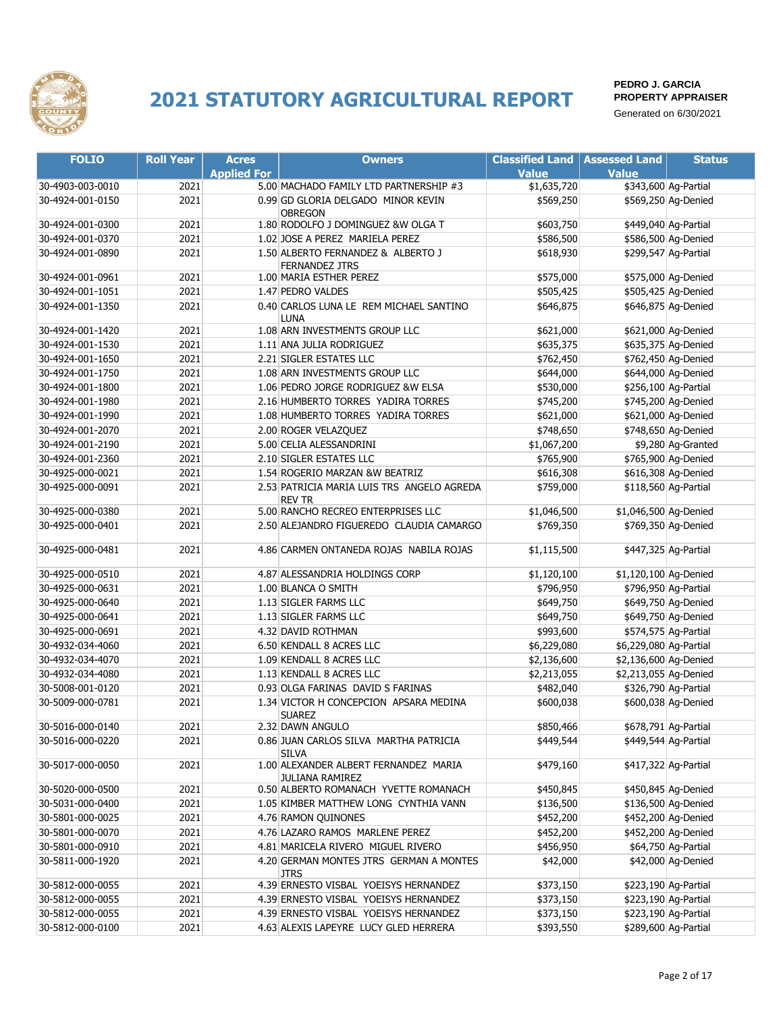

| <b>FOLIO</b>     | <b>Roll Year</b> | <b>Acres</b>       | <b>Owners</b>                                            | <b>Classified Land</b> | <b>Assessed Land</b>   | <b>Status</b>        |
|------------------|------------------|--------------------|----------------------------------------------------------|------------------------|------------------------|----------------------|
|                  |                  | <b>Applied For</b> |                                                          | <b>Value</b>           | <b>Value</b>           |                      |
| 30-4903-003-0010 | 2021             |                    | 5.00 MACHADO FAMILY LTD PARTNERSHIP #3                   | \$1,635,720            |                        | \$343,600 Ag-Partial |
| 30-4924-001-0150 | 2021             |                    | 0.99 GD GLORIA DELGADO MINOR KEVIN                       | \$569,250              |                        | \$569,250 Ag-Denied  |
|                  |                  |                    | <b>OBREGON</b>                                           |                        |                        |                      |
| 30-4924-001-0300 | 2021             |                    | 1.80 RODOLFO J DOMINGUEZ &W OLGA T                       | \$603,750              |                        | \$449,040 Ag-Partial |
| 30-4924-001-0370 | 2021             |                    | 1.02 JOSE A PEREZ MARIELA PEREZ                          | \$586,500              |                        | \$586,500 Ag-Denied  |
| 30-4924-001-0890 | 2021             |                    | 1.50 ALBERTO FERNANDEZ & ALBERTO J                       | \$618,930              |                        | \$299,547 Ag-Partial |
| 30-4924-001-0961 | 2021             |                    | <b>FERNANDEZ JTRS</b><br>1.00 MARIA ESTHER PEREZ         | \$575,000              |                        | \$575,000 Ag-Denied  |
| 30-4924-001-1051 | 2021             |                    | 1.47 PEDRO VALDES                                        | \$505,425              |                        | \$505,425 Ag-Denied  |
| 30-4924-001-1350 | 2021             |                    | 0.40 CARLOS LUNA LE REM MICHAEL SANTINO                  | \$646,875              |                        | \$646,875 Ag-Denied  |
|                  |                  |                    | LUNA                                                     |                        |                        |                      |
| 30-4924-001-1420 | 2021             |                    | 1.08 ARN INVESTMENTS GROUP LLC                           | \$621,000              |                        | \$621,000 Ag-Denied  |
| 30-4924-001-1530 | 2021             |                    | 1.11 ANA JULIA RODRIGUEZ                                 | \$635,375              |                        | \$635,375 Ag-Denied  |
| 30-4924-001-1650 | 2021             |                    | 2.21 SIGLER ESTATES LLC                                  | \$762,450              |                        | \$762,450 Ag-Denied  |
| 30-4924-001-1750 | 2021             |                    | 1.08 ARN INVESTMENTS GROUP LLC                           | \$644,000              |                        | \$644,000 Ag-Denied  |
| 30-4924-001-1800 | 2021             |                    | 1.06 PEDRO JORGE RODRIGUEZ &W ELSA                       | \$530,000              |                        | \$256,100 Ag-Partial |
| 30-4924-001-1980 | 2021             |                    | 2.16 HUMBERTO TORRES YADIRA TORRES                       | \$745,200              |                        | \$745,200 Ag-Denied  |
| 30-4924-001-1990 | 2021             |                    | 1.08 HUMBERTO TORRES YADIRA TORRES                       | \$621,000              |                        | \$621,000 Ag-Denied  |
| 30-4924-001-2070 | 2021             |                    | 2.00 ROGER VELAZQUEZ                                     | \$748,650              |                        | \$748,650 Ag-Denied  |
| 30-4924-001-2190 | 2021             |                    | 5.00 CELIA ALESSANDRINI                                  | \$1,067,200            |                        | \$9,280 Ag-Granted   |
| 30-4924-001-2360 | 2021             |                    | 2.10 SIGLER ESTATES LLC                                  | \$765,900              |                        | \$765,900 Ag-Denied  |
| 30-4925-000-0021 | 2021             |                    | 1.54 ROGERIO MARZAN & W BEATRIZ                          | \$616,308              |                        | \$616,308 Ag-Denied  |
| 30-4925-000-0091 | 2021             |                    | 2.53 PATRICIA MARIA LUIS TRS ANGELO AGREDA               | \$759,000              |                        | \$118,560 Ag-Partial |
|                  |                  |                    | <b>REV TR</b>                                            |                        |                        |                      |
| 30-4925-000-0380 | 2021             |                    | 5.00 RANCHO RECREO ENTERPRISES LLC                       | \$1,046,500            | \$1,046,500 Ag-Denied  |                      |
| 30-4925-000-0401 | 2021             |                    | 2.50 ALEJANDRO FIGUEREDO CLAUDIA CAMARGO                 | \$769,350              |                        | \$769,350 Ag-Denied  |
| 30-4925-000-0481 | 2021             |                    | 4.86 CARMEN ONTANEDA ROJAS NABILA ROJAS                  | \$1,115,500            |                        | \$447,325 Ag-Partial |
| 30-4925-000-0510 | 2021             |                    | 4.87 ALESSANDRIA HOLDINGS CORP                           | \$1,120,100            | \$1,120,100 Ag-Denied  |                      |
| 30-4925-000-0631 | 2021             |                    | 1.00 BLANCA O SMITH                                      | \$796,950              |                        | \$796,950 Ag-Partial |
| 30-4925-000-0640 | 2021             |                    | 1.13 SIGLER FARMS LLC                                    | \$649,750              |                        | \$649,750 Ag-Denied  |
| 30-4925-000-0641 | 2021             |                    | 1.13 SIGLER FARMS LLC                                    | \$649,750              |                        | \$649,750 Ag-Denied  |
| 30-4925-000-0691 | 2021             |                    | 4.32 DAVID ROTHMAN                                       | \$993,600              |                        | \$574,575 Ag-Partial |
| 30-4932-034-4060 | 2021             |                    | 6.50 KENDALL 8 ACRES LLC                                 | \$6,229,080            | \$6,229,080 Ag-Partial |                      |
| 30-4932-034-4070 | 2021             |                    | 1.09 KENDALL 8 ACRES LLC                                 | \$2,136,600            | \$2,136,600 Ag-Denied  |                      |
| 30-4932-034-4080 | 2021             |                    | 1.13 KENDALL 8 ACRES LLC                                 | \$2,213,055            | \$2,213,055 Ag-Denied  |                      |
| 30-5008-001-0120 | 2021             |                    | 0.93 OLGA FARINAS DAVID S FARINAS                        | \$482,040              |                        | \$326,790 Ag-Partial |
| 30-5009-000-0781 | 2021             |                    | 1.34 VICTOR H CONCEPCION APSARA MEDINA<br><b>SUAREZ</b>  | \$600,038              |                        | \$600,038 Ag-Denied  |
| 30-5016-000-0140 | 2021             |                    | 2.32 DAWN ANGULO                                         | \$850,466              |                        | \$678,791 Ag-Partial |
| 30-5016-000-0220 | 2021             |                    | 0.86 JUAN CARLOS SILVA MARTHA PATRICIA<br>SILVA          | \$449,544              |                        | \$449,544 Ag-Partial |
| 30-5017-000-0050 | 2021             |                    | 1.00 ALEXANDER ALBERT FERNANDEZ MARIA<br>JULIANA RAMIREZ | \$479,160              |                        | \$417,322 Ag-Partial |
| 30-5020-000-0500 | 2021             |                    | 0.50 ALBERTO ROMANACH YVETTE ROMANACH                    | \$450,845              |                        | \$450,845 Ag-Denied  |
| 30-5031-000-0400 | 2021             |                    | 1.05 KIMBER MATTHEW LONG CYNTHIA VANN                    | \$136,500              |                        | \$136,500 Ag-Denied  |
| 30-5801-000-0025 | 2021             |                    | 4.76 RAMON QUINONES                                      | \$452,200              |                        | \$452,200 Ag-Denied  |
| 30-5801-000-0070 | 2021             |                    | 4.76 LAZARO RAMOS MARLENE PEREZ                          | \$452,200              |                        | \$452,200 Ag-Denied  |
| 30-5801-000-0910 | 2021             |                    | 4.81 MARICELA RIVERO MIGUEL RIVERO                       | \$456,950              |                        | \$64,750 Ag-Partial  |
| 30-5811-000-1920 | 2021             |                    | 4.20 GERMAN MONTES JTRS GERMAN A MONTES                  | \$42,000               |                        | \$42,000 Ag-Denied   |
|                  |                  |                    | <b>JTRS</b>                                              |                        |                        |                      |
| 30-5812-000-0055 | 2021             |                    | 4.39 ERNESTO VISBAL YOEISYS HERNANDEZ                    | \$373,150              |                        | \$223,190 Ag-Partial |
| 30-5812-000-0055 | 2021             |                    | 4.39 ERNESTO VISBAL YOEISYS HERNANDEZ                    | \$373,150              |                        | \$223,190 Ag-Partial |
| 30-5812-000-0055 | 2021             |                    | 4.39 ERNESTO VISBAL YOEISYS HERNANDEZ                    | \$373,150              |                        | \$223,190 Ag-Partial |
| 30-5812-000-0100 | 2021             |                    | 4.63 ALEXIS LAPEYRE LUCY GLED HERRERA                    | \$393,550              |                        | \$289,600 Ag-Partial |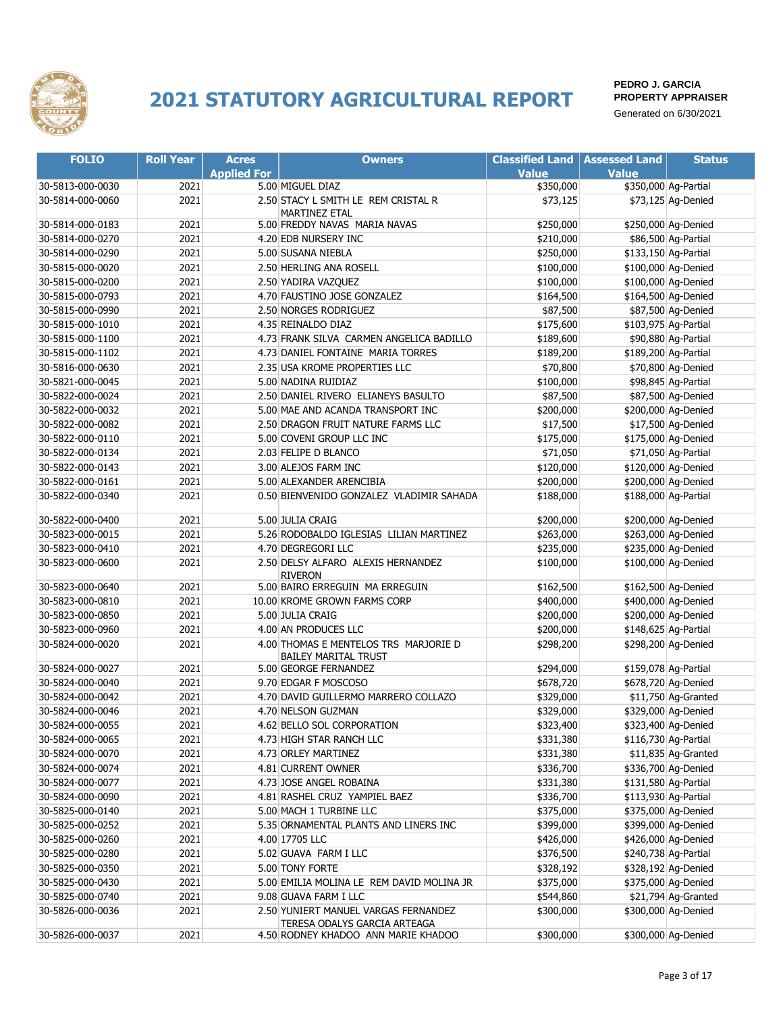

| <b>FOLIO</b>     | <b>Roll Year</b> | <b>Acres</b>       | <b>Owners</b>                                                        | <b>Classified Land   Assessed Land</b> |              | <b>Status</b>        |
|------------------|------------------|--------------------|----------------------------------------------------------------------|----------------------------------------|--------------|----------------------|
|                  |                  | <b>Applied For</b> |                                                                      | <b>Value</b>                           | <b>Value</b> |                      |
| 30-5813-000-0030 | 2021             |                    | 5.00 MIGUEL DIAZ                                                     | \$350,000                              |              | \$350,000 Ag-Partial |
| 30-5814-000-0060 | 2021             |                    | 2.50 STACY L SMITH LE REM CRISTAL R<br>MARTINEZ ETAL                 | \$73,125                               |              | \$73,125 Ag-Denied   |
| 30-5814-000-0183 | 2021             |                    | 5.00 FREDDY NAVAS MARIA NAVAS                                        | \$250,000                              |              | \$250,000 Ag-Denied  |
| 30-5814-000-0270 | 2021             |                    | 4.20 EDB NURSERY INC                                                 | \$210,000                              |              | \$86,500 Ag-Partial  |
| 30-5814-000-0290 | 2021             |                    | 5.00 SUSANA NIEBLA                                                   | \$250,000                              |              | \$133,150 Ag-Partial |
| 30-5815-000-0020 | 2021             |                    | 2.50 HERLING ANA ROSELL                                              | \$100,000                              |              | \$100,000 Ag-Denied  |
| 30-5815-000-0200 | 2021             |                    | 2.50 YADIRA VAZQUEZ                                                  | \$100,000                              |              | \$100,000 Ag-Denied  |
| 30-5815-000-0793 | 2021             |                    | 4.70 FAUSTINO JOSE GONZALEZ                                          | \$164,500                              |              | \$164,500 Ag-Denied  |
| 30-5815-000-0990 | 2021             |                    | 2.50 NORGES RODRIGUEZ                                                | \$87,500                               |              | \$87,500 Ag-Denied   |
| 30-5815-000-1010 | 2021             |                    | 4.35 REINALDO DIAZ                                                   | \$175,600                              |              | \$103,975 Ag-Partial |
| 30-5815-000-1100 | 2021             |                    | 4.73 FRANK SILVA CARMEN ANGELICA BADILLO                             | \$189,600                              |              | \$90,880 Ag-Partial  |
| 30-5815-000-1102 | 2021             |                    | 4.73 DANIEL FONTAINE MARIA TORRES                                    | \$189,200                              |              | \$189,200 Ag-Partial |
| 30-5816-000-0630 | 2021             |                    | 2.35 USA KROME PROPERTIES LLC                                        | \$70,800                               |              | \$70,800 Ag-Denied   |
| 30-5821-000-0045 | 2021             |                    | 5.00 NADINA RUIDIAZ                                                  | \$100,000                              |              | \$98,845 Ag-Partial  |
| 30-5822-000-0024 | 2021             |                    | 2.50 DANIEL RIVERO ELIANEYS BASULTO                                  | \$87,500                               |              | \$87,500 Ag-Denied   |
| 30-5822-000-0032 | 2021             |                    | 5.00 MAE AND ACANDA TRANSPORT INC                                    | \$200,000                              |              | \$200,000 Ag-Denied  |
| 30-5822-000-0082 | 2021             |                    | 2.50 DRAGON FRUIT NATURE FARMS LLC                                   | \$17,500                               |              | \$17,500 Ag-Denied   |
| 30-5822-000-0110 | 2021             |                    | 5.00 COVENI GROUP LLC INC                                            | \$175,000                              |              | \$175,000 Ag-Denied  |
| 30-5822-000-0134 | 2021             |                    | 2.03 FELIPE D BLANCO                                                 | \$71,050                               |              | \$71,050 Ag-Partial  |
| 30-5822-000-0143 | 2021             |                    | 3.00 ALEJOS FARM INC                                                 | \$120,000                              |              | \$120,000 Ag-Denied  |
| 30-5822-000-0161 | 2021             |                    | 5.00 ALEXANDER ARENCIBIA                                             | \$200,000                              |              | \$200,000 Ag-Denied  |
| 30-5822-000-0340 | 2021             |                    | 0.50 BIENVENIDO GONZALEZ VLADIMIR SAHADA                             | \$188,000                              |              | \$188,000 Ag-Partial |
| 30-5822-000-0400 | 2021             |                    | 5.00 JULIA CRAIG                                                     | \$200,000                              |              | \$200,000 Ag-Denied  |
| 30-5823-000-0015 | 2021             |                    | 5.26 RODOBALDO IGLESIAS LILIAN MARTINEZ                              | \$263,000                              |              | \$263,000 Ag-Denied  |
| 30-5823-000-0410 | 2021             |                    | 4.70 DEGREGORI LLC                                                   | \$235,000                              |              | \$235,000 Ag-Denied  |
| 30-5823-000-0600 | 2021             |                    | 2.50 DELSY ALFARO ALEXIS HERNANDEZ<br><b>RIVERON</b>                 | \$100,000                              |              | \$100,000 Ag-Denied  |
| 30-5823-000-0640 | 2021             |                    | 5.00 BAIRO ERREGUIN MA ERREGUIN                                      | \$162,500                              |              | \$162,500 Ag-Denied  |
| 30-5823-000-0810 | 2021             |                    | 10.00 KROME GROWN FARMS CORP                                         | \$400,000                              |              | \$400,000 Ag-Denied  |
| 30-5823-000-0850 | 2021             |                    | 5.00 JULIA CRAIG                                                     | \$200,000                              |              | \$200,000 Ag-Denied  |
| 30-5823-000-0960 | 2021             |                    | 4.00 AN PRODUCES LLC                                                 | \$200,000                              |              | \$148,625 Ag-Partial |
| 30-5824-000-0020 | 2021             |                    | 4.00 THOMAS E MENTELOS TRS MARJORIE D<br><b>BAILEY MARITAL TRUST</b> | \$298,200                              |              | \$298,200 Ag-Denied  |
| 30-5824-000-0027 | 2021             |                    | 5.00 GEORGE FERNANDEZ                                                | \$294,000                              |              | \$159,078 Ag-Partial |
| 30-5824-000-0040 | 2021             |                    | 9.70 EDGAR F MOSCOSO                                                 | \$678,720                              |              | \$678,720 Ag-Denied  |
| 30-5824-000-0042 | 2021             |                    | 4.70 DAVID GUILLERMO MARRERO COLLAZO                                 | \$329,000                              |              | \$11,750 Ag-Granted  |
| 30-5824-000-0046 | 2021             |                    | 4.70 NELSON GUZMAN                                                   | \$329,000                              |              | \$329,000 Ag-Denied  |
| 30-5824-000-0055 | 2021             |                    | 4.62 BELLO SOL CORPORATION                                           | \$323,400                              |              | \$323,400 Ag-Denied  |
| 30-5824-000-0065 | 2021             |                    | 4.73 HIGH STAR RANCH LLC                                             | \$331,380                              |              | \$116,730 Ag-Partial |
| 30-5824-000-0070 | 2021             |                    | 4.73 ORLEY MARTINEZ                                                  | \$331,380                              |              | \$11,835 Ag-Granted  |
| 30-5824-000-0074 | 2021             |                    | 4.81 CURRENT OWNER                                                   | \$336,700                              |              | \$336,700 Ag-Denied  |
| 30-5824-000-0077 | 2021             |                    | 4.73 JOSE ANGEL ROBAINA                                              | \$331,380                              |              | \$131,580 Ag-Partial |
| 30-5824-000-0090 | 2021             |                    | 4.81 RASHEL CRUZ YAMPIEL BAEZ                                        | \$336,700                              |              | \$113,930 Ag-Partial |
| 30-5825-000-0140 | 2021             |                    | 5.00 MACH 1 TURBINE LLC                                              | \$375,000                              |              | \$375,000 Ag-Denied  |
| 30-5825-000-0252 | 2021             |                    | 5.35 ORNAMENTAL PLANTS AND LINERS INC                                | \$399,000                              |              | \$399,000 Ag-Denied  |
| 30-5825-000-0260 | 2021             |                    | 4.00 17705 LLC                                                       | \$426,000                              |              | \$426,000 Ag-Denied  |
| 30-5825-000-0280 | 2021             |                    | 5.02 GUAVA FARM I LLC                                                | \$376,500                              |              | \$240,738 Ag-Partial |
| 30-5825-000-0350 | 2021             |                    | 5.00 TONY FORTE                                                      | \$328,192                              |              | \$328,192 Ag-Denied  |
| 30-5825-000-0430 | 2021             |                    | 5.00 EMILIA MOLINA LE REM DAVID MOLINA JR                            | \$375,000                              |              | \$375,000 Ag-Denied  |
| 30-5825-000-0740 | 2021             |                    | 9.08 GUAVA FARM I LLC                                                | \$544,860                              |              | \$21,794 Ag-Granted  |
| 30-5826-000-0036 | 2021             |                    | 2.50 YUNIERT MANUEL VARGAS FERNANDEZ<br>TERESA ODALYS GARCIA ARTEAGA | \$300,000                              |              | \$300,000 Ag-Denied  |
| 30-5826-000-0037 | 2021             |                    | 4.50 RODNEY KHADOO ANN MARIE KHADOO                                  | \$300,000                              |              | \$300,000 Ag-Denied  |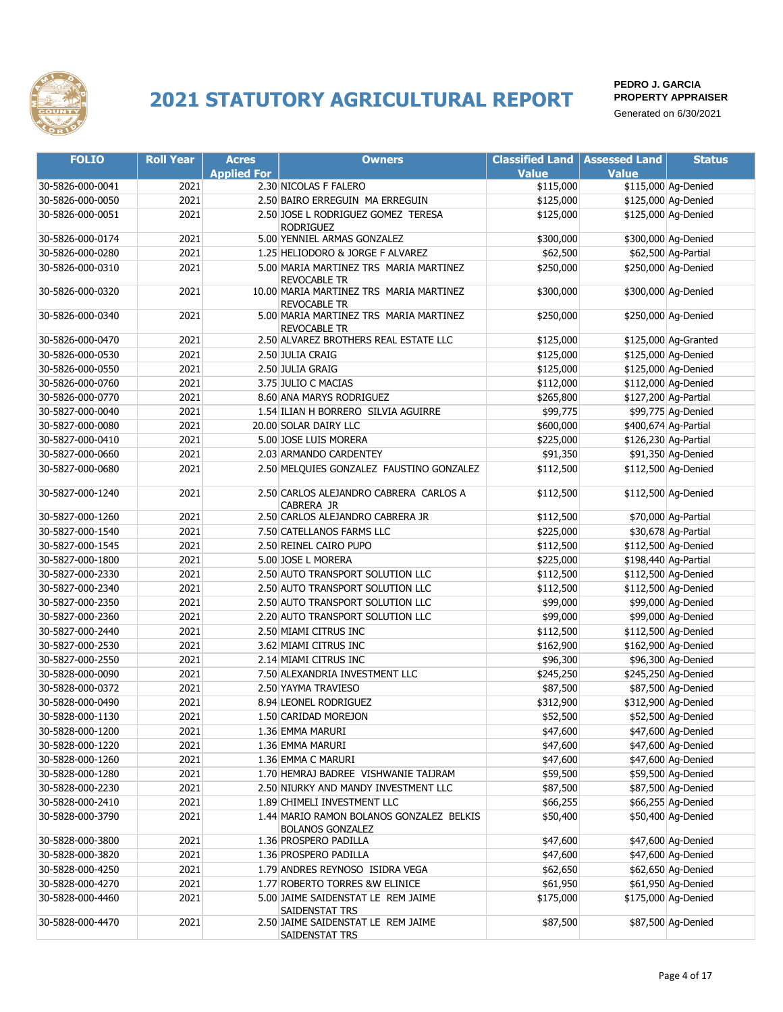

| <b>FOLIO</b>     | <b>Roll Year</b> | <b>Acres</b>       | <b>Owners</b>                                                       | <b>Classified Land</b> | <b>Assessed Land</b> | <b>Status</b>        |
|------------------|------------------|--------------------|---------------------------------------------------------------------|------------------------|----------------------|----------------------|
|                  |                  | <b>Applied For</b> |                                                                     | <b>Value</b>           | <b>Value</b>         |                      |
| 30-5826-000-0041 | 2021             |                    | 2.30 NICOLAS F FALERO                                               | \$115,000              |                      | \$115,000 Ag-Denied  |
| 30-5826-000-0050 | 2021             |                    | 2.50 BAIRO ERREGUIN MA ERREGUIN                                     | \$125,000              |                      | \$125,000 Ag-Denied  |
| 30-5826-000-0051 | 2021             |                    | 2.50 JOSE L RODRIGUEZ GOMEZ TERESA                                  | \$125,000              |                      | \$125,000 Ag-Denied  |
|                  |                  |                    | <b>RODRIGUEZ</b>                                                    |                        |                      |                      |
| 30-5826-000-0174 | 2021             |                    | 5.00 YENNIEL ARMAS GONZALEZ                                         | \$300,000              |                      | \$300,000 Ag-Denied  |
| 30-5826-000-0280 | 2021             |                    | 1.25 HELIODORO & JORGE F ALVAREZ                                    | \$62,500               |                      | \$62,500 Ag-Partial  |
| 30-5826-000-0310 | 2021             |                    | 5.00 MARIA MARTINEZ TRS MARIA MARTINEZ<br><b>REVOCABLE TR</b>       | \$250,000              |                      | \$250,000 Ag-Denied  |
| 30-5826-000-0320 | 2021             |                    | 10.00 MARIA MARTINEZ TRS MARIA MARTINEZ<br>REVOCABLE TR             | \$300,000              |                      | \$300,000 Ag-Denied  |
| 30-5826-000-0340 | 2021             |                    | 5.00 MARIA MARTINEZ TRS MARIA MARTINEZ<br>REVOCABLE TR              | \$250,000              |                      | \$250,000 Ag-Denied  |
| 30-5826-000-0470 | 2021             |                    | 2.50 ALVAREZ BROTHERS REAL ESTATE LLC                               | \$125,000              |                      | \$125,000 Ag-Granted |
| 30-5826-000-0530 | 2021             |                    | 2.50 JULIA CRAIG                                                    | \$125,000              |                      | \$125,000 Ag-Denied  |
| 30-5826-000-0550 | 2021             |                    | 2.50 JULIA GRAIG                                                    | \$125,000              |                      | \$125,000 Ag-Denied  |
| 30-5826-000-0760 | 2021             |                    | 3.75 JULIO C MACIAS                                                 | \$112,000              |                      | \$112,000 Ag-Denied  |
| 30-5826-000-0770 | 2021             |                    | 8.60 ANA MARYS RODRIGUEZ                                            | \$265,800              |                      | \$127,200 Ag-Partial |
| 30-5827-000-0040 | 2021             |                    | 1.54 ILIAN H BORRERO SILVIA AGUIRRE                                 | \$99,775               |                      | \$99,775 Ag-Denied   |
| 30-5827-000-0080 | 2021             |                    | 20.00 SOLAR DAIRY LLC                                               | \$600,000              |                      | \$400,674 Ag-Partial |
| 30-5827-000-0410 | 2021             |                    | 5.00 JOSE LUIS MORERA                                               | \$225,000              |                      | \$126,230 Ag-Partial |
| 30-5827-000-0660 | 2021             |                    | 2.03 ARMANDO CARDENTEY                                              | \$91,350               |                      | \$91,350 Ag-Denied   |
| 30-5827-000-0680 | 2021             |                    | 2.50 MELQUIES GONZALEZ FAUSTINO GONZALEZ                            | \$112,500              |                      | \$112,500 Ag-Denied  |
|                  |                  |                    |                                                                     |                        |                      |                      |
| 30-5827-000-1240 | 2021             |                    | 2.50 CARLOS ALEJANDRO CABRERA CARLOS A<br>CABRERA JR                | \$112,500              |                      | \$112,500 Ag-Denied  |
| 30-5827-000-1260 | 2021             |                    | 2.50 CARLOS ALEJANDRO CABRERA JR                                    | \$112,500              |                      | \$70,000 Ag-Partial  |
| 30-5827-000-1540 | 2021             |                    | 7.50 CATELLANOS FARMS LLC                                           | \$225,000              |                      | \$30,678 Ag-Partial  |
| 30-5827-000-1545 | 2021             |                    | 2.50 REINEL CAIRO PUPO                                              | \$112,500              |                      | \$112,500 Ag-Denied  |
| 30-5827-000-1800 | 2021             |                    | 5.00 JOSE L MORERA                                                  | \$225,000              |                      | \$198,440 Ag-Partial |
| 30-5827-000-2330 | 2021             |                    | 2.50 AUTO TRANSPORT SOLUTION LLC                                    | \$112,500              |                      | \$112,500 Ag-Denied  |
| 30-5827-000-2340 | 2021             |                    | 2.50 AUTO TRANSPORT SOLUTION LLC                                    | \$112,500              |                      | \$112,500 Ag-Denied  |
| 30-5827-000-2350 | 2021             |                    | 2.50 AUTO TRANSPORT SOLUTION LLC                                    | \$99,000               |                      | \$99,000 Ag-Denied   |
| 30-5827-000-2360 | 2021             |                    | 2.20 AUTO TRANSPORT SOLUTION LLC                                    | \$99,000               |                      | \$99,000 Ag-Denied   |
| 30-5827-000-2440 | 2021             |                    | 2.50 MIAMI CITRUS INC                                               | \$112,500              |                      | \$112,500 Ag-Denied  |
| 30-5827-000-2530 | 2021             |                    | 3.62 MIAMI CITRUS INC                                               | \$162,900              |                      | \$162,900 Ag-Denied  |
| 30-5827-000-2550 | 2021             |                    | 2.14 MIAMI CITRUS INC                                               | \$96,300               |                      | \$96,300 Ag-Denied   |
| 30-5828-000-0090 | 2021             |                    | 7.50 ALEXANDRIA INVESTMENT LLC                                      | \$245,250              |                      | \$245,250 Ag-Denied  |
| 30-5828-000-0372 | 2021             |                    | 2.50 YAYMA TRAVIESO                                                 | \$87,500               |                      | \$87,500 Ag-Denied   |
| 30-5828-000-0490 | 2021             |                    | 8.94 LEONEL RODRIGUEZ                                               | \$312,900              |                      | \$312,900 Ag-Denied  |
| 30-5828-000-1130 | 2021             |                    | 1.50 CARIDAD MOREJON                                                | \$52,500               |                      | \$52,500 Ag-Denied   |
| 30-5828-000-1200 | 2021             |                    | 1.36 EMMA MARURI                                                    | \$47,600               |                      | \$47,600 Ag-Denied   |
| 30-5828-000-1220 | 2021             |                    | 1.36 EMMA MARURI                                                    | \$47,600               |                      | \$47,600 Ag-Denied   |
| 30-5828-000-1260 | 2021             |                    | 1.36 EMMA C MARURI                                                  | \$47,600               |                      | \$47,600 Ag-Denied   |
| 30-5828-000-1280 | 2021             |                    | 1.70 HEMRAJ BADREE VISHWANIE TAIJRAM                                | \$59,500               |                      | \$59,500 Ag-Denied   |
| 30-5828-000-2230 | 2021             |                    | 2.50 NIURKY AND MANDY INVESTMENT LLC                                | \$87,500               |                      | \$87,500 Ag-Denied   |
| 30-5828-000-2410 | 2021             |                    | 1.89 CHIMELI INVESTMENT LLC                                         | \$66,255               |                      | \$66,255 Ag-Denied   |
|                  |                  |                    |                                                                     |                        |                      |                      |
| 30-5828-000-3790 | 2021             |                    | 1.44 MARIO RAMON BOLANOS GONZALEZ BELKIS<br><b>BOLANOS GONZALEZ</b> | \$50,400               |                      | \$50,400 Ag-Denied   |
| 30-5828-000-3800 | 2021             |                    | 1.36 PROSPERO PADILLA                                               | \$47,600               |                      | \$47,600 Ag-Denied   |
| 30-5828-000-3820 | 2021             |                    | 1.36 PROSPERO PADILLA                                               | \$47,600               |                      | \$47,600 Ag-Denied   |
| 30-5828-000-4250 | 2021             |                    | 1.79 ANDRES REYNOSO ISIDRA VEGA                                     | \$62,650               |                      | \$62,650 Ag-Denied   |
| 30-5828-000-4270 | 2021             |                    | 1.77 ROBERTO TORRES &W ELINICE                                      | \$61,950               |                      | \$61,950 Ag-Denied   |
| 30-5828-000-4460 | 2021             |                    | 5.00 JAIME SAIDENSTAT LE REM JAIME<br>SAIDENSTAT TRS                | \$175,000              |                      | \$175,000 Ag-Denied  |
| 30-5828-000-4470 | 2021             |                    | 2.50 JAIME SAIDENSTAT LE REM JAIME<br>SAIDENSTAT TRS                | \$87,500               |                      | \$87,500 Ag-Denied   |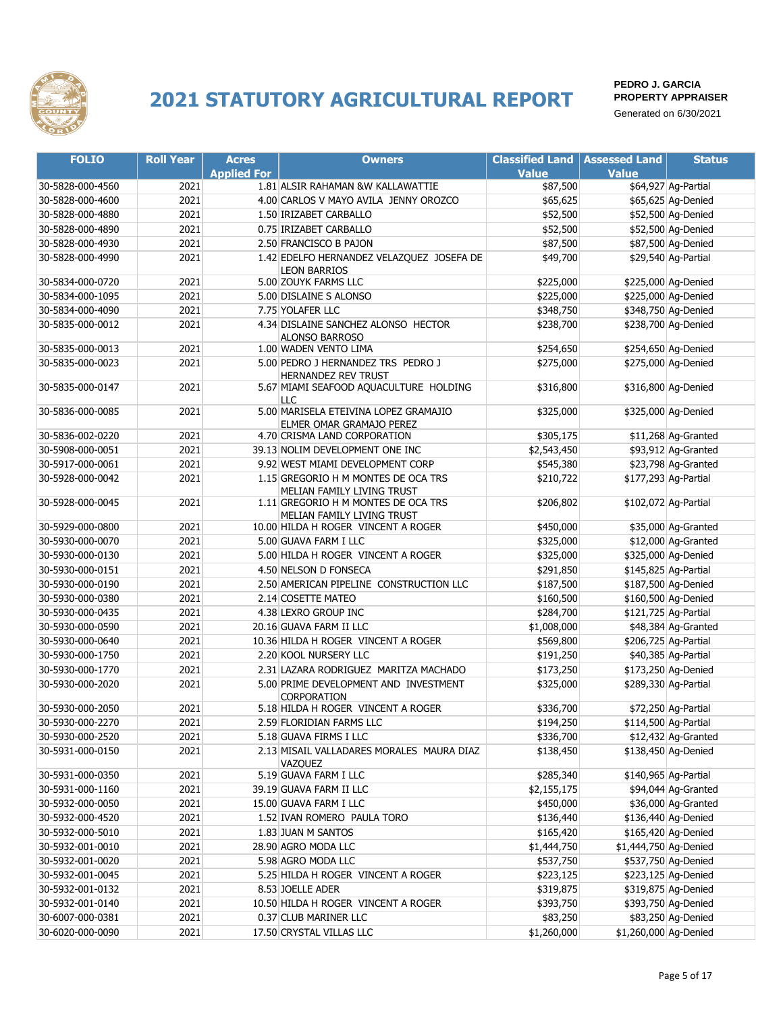

| <b>FOLIO</b>     | <b>Roll Year</b> | <b>Acres</b>       | <b>Owners</b>                                                     | <b>Classified Land   Assessed Land</b> |                       | <b>Status</b>        |
|------------------|------------------|--------------------|-------------------------------------------------------------------|----------------------------------------|-----------------------|----------------------|
|                  |                  | <b>Applied For</b> |                                                                   | <b>Value</b>                           | <b>Value</b>          |                      |
| 30-5828-000-4560 | 2021             |                    | 1.81 ALSIR RAHAMAN &W KALLAWATTIE                                 | \$87,500                               |                       | \$64,927 Ag-Partial  |
| 30-5828-000-4600 | 2021             |                    | 4.00 CARLOS V MAYO AVILA JENNY OROZCO                             | \$65,625                               |                       | \$65,625 Ag-Denied   |
| 30-5828-000-4880 | 2021             |                    | 1.50 IRIZABET CARBALLO                                            | \$52,500                               |                       | \$52,500 Ag-Denied   |
| 30-5828-000-4890 | 2021             |                    | 0.75 IRIZABET CARBALLO                                            | \$52,500                               |                       | \$52,500 Ag-Denied   |
| 30-5828-000-4930 | 2021             |                    | 2.50 FRANCISCO B PAJON                                            | \$87,500                               |                       | \$87,500 Ag-Denied   |
| 30-5828-000-4990 | 2021             |                    | 1.42 EDELFO HERNANDEZ VELAZQUEZ JOSEFA DE                         | \$49,700                               |                       | \$29,540 Ag-Partial  |
|                  |                  |                    | <b>LEON BARRIOS</b>                                               |                                        |                       |                      |
| 30-5834-000-0720 | 2021             |                    | 5.00 ZOUYK FARMS LLC                                              | \$225,000                              |                       | \$225,000 Ag-Denied  |
| 30-5834-000-1095 | 2021             |                    | 5.00 DISLAINE S ALONSO                                            | \$225,000                              |                       | \$225,000 Ag-Denied  |
| 30-5834-000-4090 | 2021             |                    | 7.75 YOLAFER LLC                                                  | \$348,750                              |                       | \$348,750 Ag-Denied  |
| 30-5835-000-0012 | 2021             |                    | 4.34 DISLAINE SANCHEZ ALONSO HECTOR                               | \$238,700                              |                       | \$238,700 Ag-Denied  |
|                  |                  |                    | <b>ALONSO BARROSO</b>                                             |                                        |                       |                      |
| 30-5835-000-0013 | 2021             |                    | 1.00 WADEN VENTO LIMA                                             | \$254,650                              |                       | \$254,650 Ag-Denied  |
| 30-5835-000-0023 | 2021             |                    | 5.00 PEDRO J HERNANDEZ TRS PEDRO J<br>HERNANDEZ REV TRUST         | \$275,000                              |                       | \$275,000 Ag-Denied  |
| 30-5835-000-0147 | 2021             |                    | 5.67 MIAMI SEAFOOD AQUACULTURE HOLDING<br>LLC                     | \$316,800                              |                       | \$316,800 Ag-Denied  |
| 30-5836-000-0085 | 2021             |                    | 5.00 MARISELA ETEIVINA LOPEZ GRAMAJIO                             | \$325,000                              |                       | \$325,000 Ag-Denied  |
|                  |                  |                    | ELMER OMAR GRAMAJO PEREZ                                          |                                        |                       |                      |
| 30-5836-002-0220 | 2021             |                    | 4.70 CRISMA LAND CORPORATION                                      | \$305,175                              |                       | \$11,268 Ag-Granted  |
| 30-5908-000-0051 | 2021             |                    | 39.13 NOLIM DEVELOPMENT ONE INC                                   | \$2,543,450                            |                       | \$93,912 Ag-Granted  |
| 30-5917-000-0061 | 2021             |                    | 9.92 WEST MIAMI DEVELOPMENT CORP                                  | \$545,380                              |                       | \$23,798 Ag-Granted  |
| 30-5928-000-0042 | 2021             |                    | 1.15 GREGORIO H M MONTES DE OCA TRS<br>MELIAN FAMILY LIVING TRUST | \$210,722                              |                       | \$177,293 Ag-Partial |
| 30-5928-000-0045 | 2021             |                    | 1.11 GREGORIO H M MONTES DE OCA TRS<br>MELIAN FAMILY LIVING TRUST | \$206,802                              |                       | \$102,072 Ag-Partial |
| 30-5929-000-0800 | 2021             |                    | 10.00 HILDA H ROGER VINCENT A ROGER                               | \$450,000                              |                       | \$35,000 Ag-Granted  |
| 30-5930-000-0070 | 2021             |                    | 5.00 GUAVA FARM I LLC                                             | \$325,000                              |                       | \$12,000 Ag-Granted  |
| 30-5930-000-0130 | 2021             |                    | 5.00 HILDA H ROGER VINCENT A ROGER                                | \$325,000                              |                       | \$325,000 Ag-Denied  |
| 30-5930-000-0151 | 2021             |                    | 4.50 NELSON D FONSECA                                             | \$291,850                              |                       | \$145,825 Ag-Partial |
| 30-5930-000-0190 | 2021             |                    | 2.50 AMERICAN PIPELINE CONSTRUCTION LLC                           | \$187,500                              |                       | \$187,500 Ag-Denied  |
| 30-5930-000-0380 | 2021             |                    | 2.14 COSETTE MATEO                                                | \$160,500                              |                       | \$160,500 Ag-Denied  |
| 30-5930-000-0435 | 2021             |                    | 4.38 LEXRO GROUP INC                                              | \$284,700                              |                       | \$121,725 Ag-Partial |
| 30-5930-000-0590 | 2021             |                    | 20.16 GUAVA FARM II LLC                                           | \$1,008,000                            |                       | \$48,384 Ag-Granted  |
| 30-5930-000-0640 | 2021             |                    | 10.36 HILDA H ROGER VINCENT A ROGER                               | \$569,800                              |                       | \$206,725 Ag-Partial |
| 30-5930-000-1750 | 2021             |                    | 2.20 KOOL NURSERY LLC                                             | \$191,250                              |                       | \$40,385 Ag-Partial  |
| 30-5930-000-1770 | 2021             |                    | 2.31 LAZARA RODRIGUEZ MARITZA MACHADO                             | \$173,250                              |                       | \$173,250 Ag-Denied  |
| 30-5930-000-2020 | 2021             |                    | 5.00 PRIME DEVELOPMENT AND INVESTMENT                             | \$325,000                              |                       | \$289,330 Ag-Partial |
|                  |                  |                    | <b>CORPORATION</b>                                                |                                        |                       |                      |
| 30-5930-000-2050 | 2021             |                    | 5.18 HILDA H ROGER VINCENT A ROGER                                | \$336,700                              |                       | \$72,250 Ag-Partial  |
| 30-5930-000-2270 | 2021             |                    | 2.59 FLORIDIAN FARMS LLC                                          | \$194,250                              |                       | \$114,500 Ag-Partial |
| 30-5930-000-2520 | 2021             |                    | 5.18 GUAVA FIRMS I LLC                                            | \$336,700                              |                       | \$12,432 Ag-Granted  |
| 30-5931-000-0150 | 2021             |                    | 2.13 MISAIL VALLADARES MORALES MAURA DIAZ<br>VAZOUEZ              | \$138,450                              |                       | \$138,450 Ag-Denied  |
| 30-5931-000-0350 | 2021             |                    | 5.19 GUAVA FARM I LLC                                             | \$285,340                              |                       | \$140,965 Ag-Partial |
| 30-5931-000-1160 | 2021             |                    | 39.19 GUAVA FARM II LLC                                           | \$2,155,175                            |                       | \$94,044 Ag-Granted  |
| 30-5932-000-0050 | 2021             |                    | 15.00 GUAVA FARM I LLC                                            | \$450,000                              |                       | \$36,000 Ag-Granted  |
| 30-5932-000-4520 | 2021             |                    | 1.52 IVAN ROMERO PAULA TORO                                       | \$136,440                              |                       | \$136,440 Ag-Denied  |
| 30-5932-000-5010 | 2021             |                    | 1.83 JUAN M SANTOS                                                | \$165,420                              |                       | \$165,420 Ag-Denied  |
| 30-5932-001-0010 | 2021             |                    | 28.90 AGRO MODA LLC                                               | \$1,444,750                            | \$1,444,750 Ag-Denied |                      |
| 30-5932-001-0020 | 2021             |                    | 5.98 AGRO MODA LLC                                                | \$537,750                              |                       | \$537,750 Ag-Denied  |
| 30-5932-001-0045 | 2021             |                    | 5.25 HILDA H ROGER VINCENT A ROGER                                | \$223,125                              |                       | \$223,125 Ag-Denied  |
| 30-5932-001-0132 | 2021             |                    | 8.53 JOELLE ADER                                                  | \$319,875                              |                       | \$319,875 Ag-Denied  |
| 30-5932-001-0140 | 2021             |                    | 10.50 HILDA H ROGER VINCENT A ROGER                               | \$393,750                              |                       | \$393,750 Ag-Denied  |
| 30-6007-000-0381 | 2021             |                    | 0.37 CLUB MARINER LLC                                             | \$83,250                               |                       | \$83,250 Ag-Denied   |
| 30-6020-000-0090 | 2021             |                    | 17.50 CRYSTAL VILLAS LLC                                          | \$1,260,000                            | \$1,260,000 Ag-Denied |                      |
|                  |                  |                    |                                                                   |                                        |                       |                      |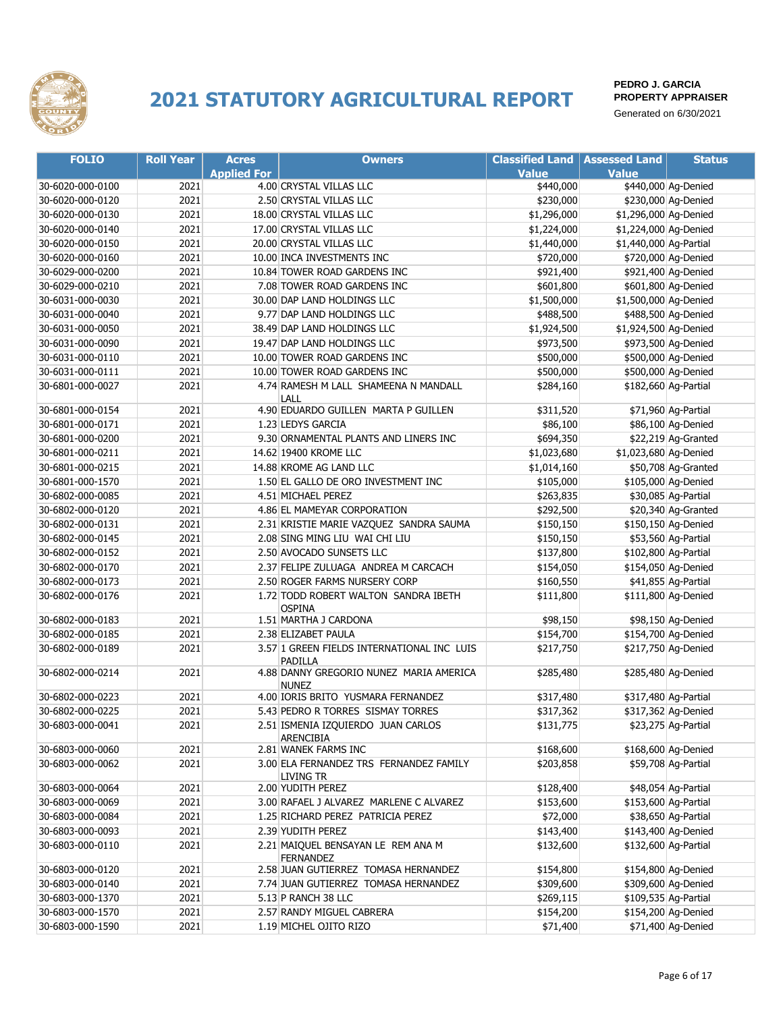

| <b>FOLIO</b>     | <b>Roll Year</b> | <b>Acres</b>       | <b>Owners</b>                                          | <b>Classified Land</b> | <b>Assessed Land</b>   | <b>Status</b>        |
|------------------|------------------|--------------------|--------------------------------------------------------|------------------------|------------------------|----------------------|
|                  |                  | <b>Applied For</b> |                                                        | <b>Value</b>           | <b>Value</b>           |                      |
| 30-6020-000-0100 | 2021             |                    | 4.00 CRYSTAL VILLAS LLC                                | \$440,000              |                        | \$440,000 Ag-Denied  |
| 30-6020-000-0120 | 2021             |                    | 2.50 CRYSTAL VILLAS LLC                                | \$230,000              |                        | \$230,000 Ag-Denied  |
| 30-6020-000-0130 | 2021             |                    | 18.00 CRYSTAL VILLAS LLC                               | \$1,296,000            | \$1,296,000 Ag-Denied  |                      |
| 30-6020-000-0140 | 2021             |                    | 17.00 CRYSTAL VILLAS LLC                               | \$1,224,000            | \$1,224,000 Ag-Denied  |                      |
| 30-6020-000-0150 | 2021             |                    | 20.00 CRYSTAL VILLAS LLC                               | \$1,440,000            | \$1,440,000 Ag-Partial |                      |
| 30-6020-000-0160 | 2021             |                    | 10.00 INCA INVESTMENTS INC                             | \$720,000              |                        | \$720,000 Ag-Denied  |
| 30-6029-000-0200 | 2021             |                    | 10.84 TOWER ROAD GARDENS INC                           | \$921,400              |                        | \$921,400 Ag-Denied  |
| 30-6029-000-0210 | 2021             |                    | 7.08 TOWER ROAD GARDENS INC                            | \$601,800              |                        | \$601,800 Ag-Denied  |
| 30-6031-000-0030 | 2021             |                    | 30.00 DAP LAND HOLDINGS LLC                            | \$1,500,000            | \$1,500,000 Ag-Denied  |                      |
| 30-6031-000-0040 | 2021             |                    | 9.77 DAP LAND HOLDINGS LLC                             | \$488,500              |                        | \$488,500 Ag-Denied  |
| 30-6031-000-0050 | 2021             |                    | 38.49 DAP LAND HOLDINGS LLC                            | \$1,924,500            | \$1,924,500 Ag-Denied  |                      |
| 30-6031-000-0090 | 2021             |                    | 19.47 DAP LAND HOLDINGS LLC                            | \$973,500              |                        | \$973,500 Ag-Denied  |
| 30-6031-000-0110 | 2021             |                    | 10.00 TOWER ROAD GARDENS INC                           | \$500,000              |                        | \$500,000 Ag-Denied  |
| 30-6031-000-0111 | 2021             |                    | 10.00 TOWER ROAD GARDENS INC                           | \$500,000              |                        | \$500,000 Ag-Denied  |
| 30-6801-000-0027 | 2021             |                    | 4.74 RAMESH M LALL SHAMEENA N MANDALL                  | \$284,160              |                        | \$182,660 Ag-Partial |
|                  |                  |                    | LALL                                                   |                        |                        |                      |
| 30-6801-000-0154 | 2021             |                    | 4.90 EDUARDO GUILLEN MARTA P GUILLEN                   | \$311,520              |                        | \$71,960 Ag-Partial  |
| 30-6801-000-0171 | 2021             |                    | 1.23 LEDYS GARCIA                                      | \$86,100               |                        | \$86,100 Ag-Denied   |
| 30-6801-000-0200 | 2021             |                    | 9.30 ORNAMENTAL PLANTS AND LINERS INC                  | \$694,350              |                        | \$22,219 Ag-Granted  |
| 30-6801-000-0211 | 2021             |                    | 14.62 19400 KROME LLC                                  | \$1,023,680            | \$1,023,680 Ag-Denied  |                      |
| 30-6801-000-0215 | 2021             |                    | 14.88 KROME AG LAND LLC                                | \$1,014,160            |                        | \$50,708 Ag-Granted  |
| 30-6801-000-1570 | 2021             |                    | 1.50 EL GALLO DE ORO INVESTMENT INC                    | \$105,000              |                        | \$105,000 Ag-Denied  |
| 30-6802-000-0085 | 2021             |                    | 4.51 MICHAEL PEREZ                                     | \$263,835              |                        | \$30,085 Ag-Partial  |
| 30-6802-000-0120 | 2021             |                    | 4.86 EL MAMEYAR CORPORATION                            | \$292,500              |                        | \$20,340 Ag-Granted  |
| 30-6802-000-0131 | 2021             |                    | 2.31 KRISTIE MARIE VAZQUEZ SANDRA SAUMA                | \$150,150              |                        | \$150,150 Ag-Denied  |
| 30-6802-000-0145 | 2021             |                    | 2.08 SING MING LIU WAI CHI LIU                         | \$150,150              |                        | \$53,560 Ag-Partial  |
| 30-6802-000-0152 | 2021             |                    | 2.50 AVOCADO SUNSETS LLC                               | \$137,800              |                        | \$102,800 Ag-Partial |
| 30-6802-000-0170 | 2021             |                    | 2.37 FELIPE ZULUAGA ANDREA M CARCACH                   | \$154,050              |                        | \$154,050 Ag-Denied  |
| 30-6802-000-0173 | 2021             |                    | 2.50 ROGER FARMS NURSERY CORP                          | \$160,550              |                        | \$41,855 Ag-Partial  |
| 30-6802-000-0176 | 2021             |                    | 1.72 TODD ROBERT WALTON SANDRA IBETH<br><b>OSPINA</b>  | \$111,800              |                        | \$111,800 Ag-Denied  |
| 30-6802-000-0183 | 2021             |                    | 1.51 MARTHA J CARDONA                                  | \$98,150               |                        | \$98,150 Ag-Denied   |
| 30-6802-000-0185 | 2021             |                    | 2.38 ELIZABET PAULA                                    | \$154,700              |                        | \$154,700 Ag-Denied  |
| 30-6802-000-0189 | 2021             |                    | 3.57 1 GREEN FIELDS INTERNATIONAL INC LUIS             | \$217,750              |                        | \$217,750 Ag-Denied  |
| 30-6802-000-0214 | 2021             |                    | PADILLA<br>4.88 DANNY GREGORIO NUNEZ MARIA AMERICA     | \$285,480              |                        | \$285,480 Ag-Denied  |
|                  |                  |                    | <b>NUNEZ</b>                                           |                        |                        |                      |
| 30-6802-000-0223 | 2021             |                    | 4.00 IORIS BRITO YUSMARA FERNANDEZ                     | \$317,480              |                        | \$317,480 Ag-Partial |
| 30-6802-000-0225 | 2021             |                    | 5.43 PEDRO R TORRES SISMAY TORRES                      | \$317,362              |                        | \$317,362 Ag-Denied  |
| 30-6803-000-0041 | 2021             |                    | 2.51 ISMENIA IZQUIERDO JUAN CARLOS<br>ARENCIBIA        | \$131,775              |                        | \$23,275 Ag-Partial  |
| 30-6803-000-0060 | 2021             |                    | 2.81 WANEK FARMS INC                                   | \$168,600              |                        | \$168,600 Ag-Denied  |
| 30-6803-000-0062 | 2021             |                    | 3.00 ELA FERNANDEZ TRS FERNANDEZ FAMILY                | \$203,858              |                        | \$59,708 Ag-Partial  |
|                  |                  |                    | LIVING TR                                              |                        |                        |                      |
| 30-6803-000-0064 | 2021             |                    | 2.00 YUDITH PEREZ                                      | \$128,400              |                        | \$48,054 Ag-Partial  |
| 30-6803-000-0069 | 2021             |                    | 3.00 RAFAEL J ALVAREZ MARLENE C ALVAREZ                | \$153,600              |                        | \$153,600 Ag-Partial |
| 30-6803-000-0084 | 2021             |                    | 1.25 RICHARD PEREZ PATRICIA PEREZ                      | \$72,000               |                        | \$38,650 Ag-Partial  |
| 30-6803-000-0093 | 2021             |                    | 2.39 YUDITH PEREZ                                      | \$143,400              |                        | \$143,400 Ag-Denied  |
| 30-6803-000-0110 | 2021             |                    | 2.21 MAIQUEL BENSAYAN LE REM ANA M<br><b>FERNANDEZ</b> | \$132,600              |                        | \$132,600 Ag-Partial |
| 30-6803-000-0120 | 2021             |                    | 2.58 JUAN GUTIERREZ TOMASA HERNANDEZ                   | \$154,800              |                        | \$154,800 Ag-Denied  |
| 30-6803-000-0140 | 2021             |                    | 7.74 JUAN GUTIERREZ TOMASA HERNANDEZ                   | \$309,600              |                        | \$309,600 Ag-Denied  |
| 30-6803-000-1370 | 2021             |                    | 5.13 P RANCH 38 LLC                                    | \$269,115              |                        | \$109,535 Ag-Partial |
| 30-6803-000-1570 | 2021             |                    | 2.57 RANDY MIGUEL CABRERA                              | \$154,200              |                        | \$154,200 Ag-Denied  |
| 30-6803-000-1590 | 2021             |                    | 1.19 MICHEL OJITO RIZO                                 | \$71,400               |                        | \$71,400 Ag-Denied   |
|                  |                  |                    |                                                        |                        |                        |                      |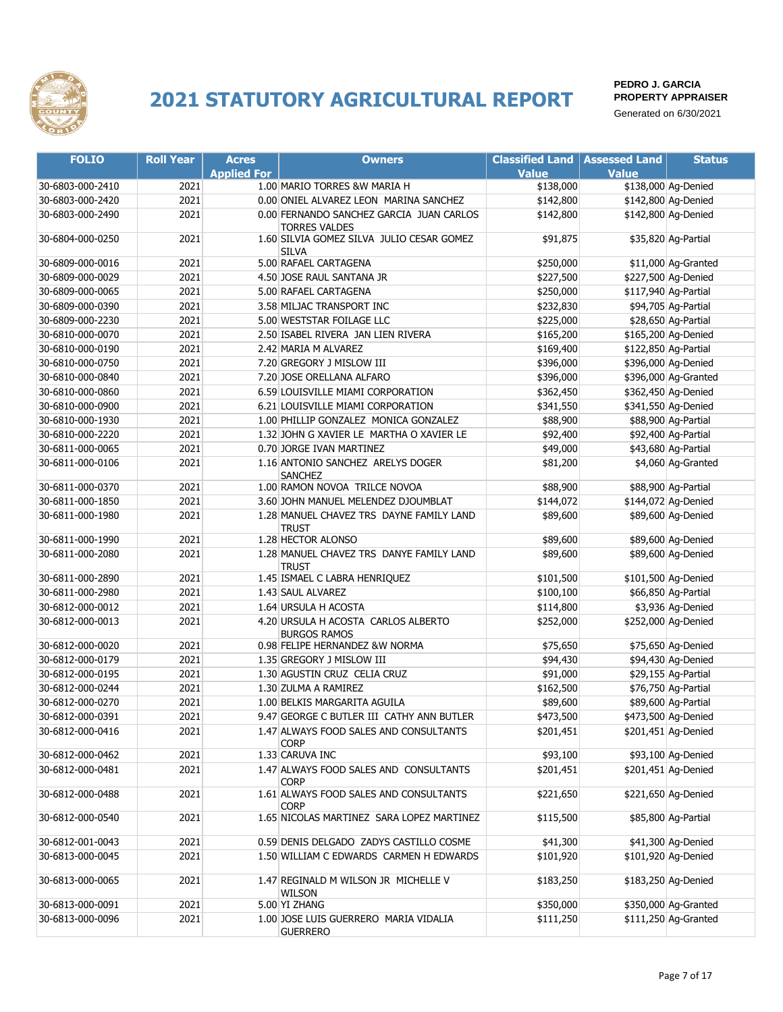

| <b>FOLIO</b>     | <b>Roll Year</b> | <b>Acres</b>       | <b>Owners</b>                                                    | <b>Classified Land</b> | <b>Assessed Land</b> | <b>Status</b>        |
|------------------|------------------|--------------------|------------------------------------------------------------------|------------------------|----------------------|----------------------|
|                  |                  | <b>Applied For</b> |                                                                  | <b>Value</b>           | <b>Value</b>         |                      |
| 30-6803-000-2410 | 2021             |                    | 1.00 MARIO TORRES &W MARIA H                                     | \$138,000              |                      | \$138,000 Ag-Denied  |
| 30-6803-000-2420 | 2021             |                    | 0.00 ONIEL ALVAREZ LEON MARINA SANCHEZ                           | \$142,800              |                      | \$142,800 Ag-Denied  |
| 30-6803-000-2490 | 2021             |                    | 0.00 FERNANDO SANCHEZ GARCIA JUAN CARLOS<br><b>TORRES VALDES</b> | \$142,800              |                      | \$142,800 Ag-Denied  |
| 30-6804-000-0250 | 2021             |                    | 1.60 SILVIA GOMEZ SILVA JULIO CESAR GOMEZ<br><b>SILVA</b>        | \$91,875               |                      | \$35,820 Ag-Partial  |
| 30-6809-000-0016 | 2021             |                    | 5.00 RAFAEL CARTAGENA                                            | \$250,000              |                      | \$11,000 Ag-Granted  |
| 30-6809-000-0029 | 2021             |                    | 4.50 JOSE RAUL SANTANA JR                                        | \$227,500              |                      | \$227,500 Ag-Denied  |
| 30-6809-000-0065 | 2021             |                    | 5.00 RAFAEL CARTAGENA                                            | \$250,000              |                      | \$117,940 Ag-Partial |
| 30-6809-000-0390 | 2021             |                    | 3.58 MILJAC TRANSPORT INC                                        | \$232,830              |                      | \$94,705 Ag-Partial  |
| 30-6809-000-2230 | 2021             |                    | 5.00 WESTSTAR FOILAGE LLC                                        | \$225,000              |                      | \$28,650 Ag-Partial  |
| 30-6810-000-0070 | 2021             |                    | 2.50 ISABEL RIVERA JAN LIEN RIVERA                               | \$165,200              |                      | \$165,200 Ag-Denied  |
| 30-6810-000-0190 | 2021             |                    | 2.42 MARIA M ALVAREZ                                             | \$169,400              |                      | \$122,850 Ag-Partial |
| 30-6810-000-0750 | 2021             |                    | 7.20 GREGORY J MISLOW III                                        | \$396,000              |                      | \$396,000 Ag-Denied  |
| 30-6810-000-0840 | 2021             |                    | 7.20 JOSE ORELLANA ALFARO                                        | \$396,000              |                      | \$396,000 Ag-Granted |
| 30-6810-000-0860 | 2021             |                    | 6.59 LOUISVILLE MIAMI CORPORATION                                | \$362,450              |                      | \$362,450 Ag-Denied  |
| 30-6810-000-0900 | 2021             |                    | 6.21 LOUISVILLE MIAMI CORPORATION                                | \$341,550              |                      | \$341,550 Ag-Denied  |
| 30-6810-000-1930 | 2021             |                    | 1.00 PHILLIP GONZALEZ MONICA GONZALEZ                            | \$88,900               |                      | \$88,900 Ag-Partial  |
| 30-6810-000-2220 | 2021             |                    | 1.32 JOHN G XAVIER LE MARTHA O XAVIER LE                         | \$92,400               |                      | \$92,400 Ag-Partial  |
| 30-6811-000-0065 | 2021             |                    | 0.70 JORGE IVAN MARTINEZ                                         | \$49,000               |                      | \$43,680 Ag-Partial  |
| 30-6811-000-0106 | 2021             |                    | 1.16 ANTONIO SANCHEZ ARELYS DOGER<br><b>SANCHEZ</b>              | \$81,200               |                      | \$4,060 Ag-Granted   |
| 30-6811-000-0370 | 2021             |                    | 1.00 RAMON NOVOA TRILCE NOVOA                                    | \$88,900               |                      | \$88,900 Ag-Partial  |
| 30-6811-000-1850 | 2021             |                    | 3.60 JOHN MANUEL MELENDEZ DJOUMBLAT                              | \$144,072              |                      | \$144,072 Ag-Denied  |
| 30-6811-000-1980 | 2021             |                    | 1.28 MANUEL CHAVEZ TRS DAYNE FAMILY LAND<br><b>TRUST</b>         | \$89,600               |                      | \$89,600 Ag-Denied   |
| 30-6811-000-1990 | 2021             |                    | 1.28 HECTOR ALONSO                                               | \$89,600               |                      | \$89,600 Ag-Denied   |
| 30-6811-000-2080 | 2021             |                    | 1.28 MANUEL CHAVEZ TRS DANYE FAMILY LAND<br><b>TRUST</b>         | \$89,600               |                      | \$89,600 Ag-Denied   |
| 30-6811-000-2890 | 2021             |                    | 1.45 ISMAEL C LABRA HENRIQUEZ                                    | \$101,500              |                      | \$101,500 Ag-Denied  |
| 30-6811-000-2980 | 2021             |                    | 1.43 SAUL ALVAREZ                                                | \$100,100              |                      | \$66,850 Ag-Partial  |
| 30-6812-000-0012 | 2021             |                    | 1.64 URSULA H ACOSTA                                             | \$114,800              |                      | \$3,936 Ag-Denied    |
| 30-6812-000-0013 | 2021             |                    | 4.20 URSULA H ACOSTA CARLOS ALBERTO<br><b>BURGOS RAMOS</b>       | \$252,000              |                      | \$252,000 Ag-Denied  |
| 30-6812-000-0020 | 2021             |                    | 0.98 FELIPE HERNANDEZ &W NORMA                                   | \$75,650               |                      | \$75,650 Ag-Denied   |
| 30-6812-000-0179 | 2021             |                    | 1.35 GREGORY J MISLOW III                                        | \$94,430               |                      | \$94,430 Ag-Denied   |
| 30-6812-000-0195 | 2021             |                    | 1.30 AGUSTIN CRUZ CELIA CRUZ                                     | \$91,000               |                      | \$29,155 Ag-Partial  |
| 30-6812-000-0244 | 2021             |                    | 1.30 ZULMA A RAMIREZ                                             | \$162,500              |                      | \$76,750 Ag-Partial  |
| 30-6812-000-0270 | 2021             |                    | 1.00 BELKIS MARGARITA AGUILA                                     | \$89,600               |                      | \$89,600 Ag-Partial  |
| 30-6812-000-0391 | 2021             |                    | 9.47 GEORGE C BUTLER III CATHY ANN BUTLER                        | \$473,500              |                      | \$473,500 Ag-Denied  |
| 30-6812-000-0416 | 2021             |                    | 1.47 ALWAYS FOOD SALES AND CONSULTANTS<br><b>CORP</b>            | \$201,451              |                      | \$201,451 Ag-Denied  |
| 30-6812-000-0462 | 2021             |                    | 1.33 CARUVA INC                                                  | \$93,100               |                      | \$93,100 Ag-Denied   |
| 30-6812-000-0481 | 2021             |                    | 1.47 ALWAYS FOOD SALES AND CONSULTANTS<br>CORP                   | \$201,451              |                      | \$201,451 Ag-Denied  |
| 30-6812-000-0488 | 2021             |                    | 1.61 ALWAYS FOOD SALES AND CONSULTANTS<br><b>CORP</b>            | \$221,650              |                      | \$221,650 Ag-Denied  |
| 30-6812-000-0540 | 2021             |                    | 1.65 NICOLAS MARTINEZ SARA LOPEZ MARTINEZ                        | \$115,500              |                      | \$85,800 Ag-Partial  |
| 30-6812-001-0043 | 2021             |                    | 0.59 DENIS DELGADO ZADYS CASTILLO COSME                          | \$41,300               |                      | \$41,300 Ag-Denied   |
| 30-6813-000-0045 | 2021             |                    | 1.50 WILLIAM C EDWARDS CARMEN H EDWARDS                          | \$101,920              |                      | \$101,920 Ag-Denied  |
| 30-6813-000-0065 | 2021             |                    | 1.47 REGINALD M WILSON JR MICHELLE V<br>WILSON                   | \$183,250              |                      | \$183,250 Ag-Denied  |
| 30-6813-000-0091 | 2021             |                    | 5.00 YI ZHANG                                                    | \$350,000              |                      | \$350,000 Ag-Granted |
| 30-6813-000-0096 | 2021             |                    | 1.00 JOSE LUIS GUERRERO MARIA VIDALIA<br><b>GUERRERO</b>         | \$111,250              |                      | \$111,250 Ag-Granted |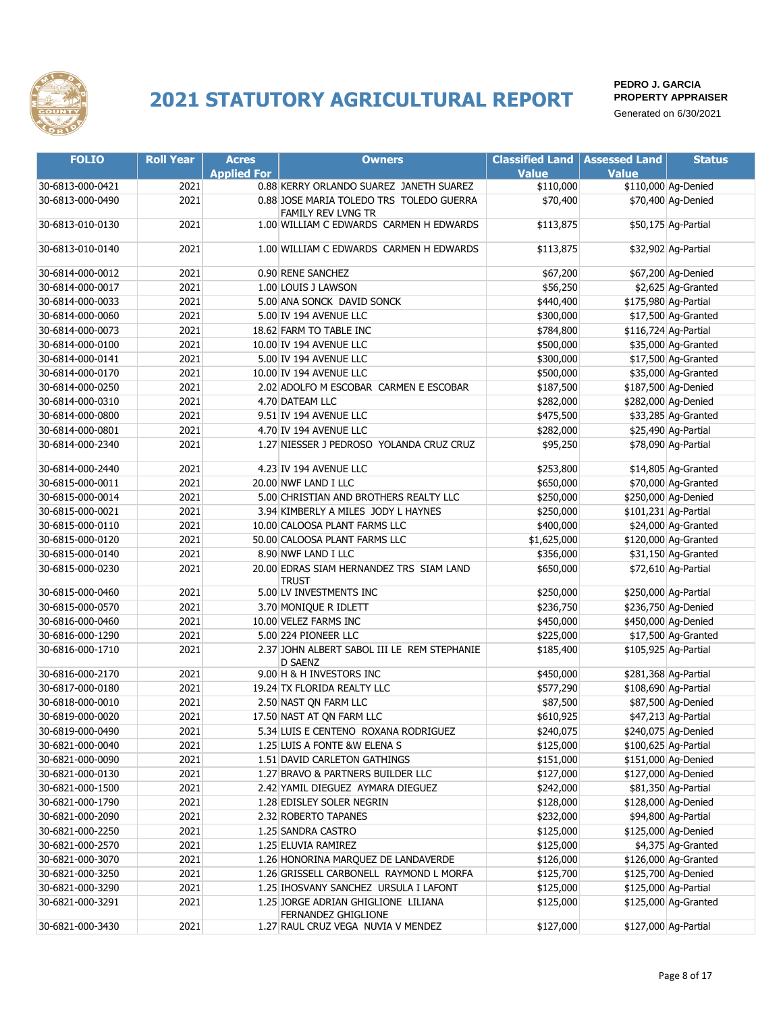

| <b>FOLIO</b>     | <b>Roll Year</b> | <b>Acres</b>       | <b>Owners</b>                                                  | <b>Classified Land</b> | <b>Assessed Land</b> | <b>Status</b>        |
|------------------|------------------|--------------------|----------------------------------------------------------------|------------------------|----------------------|----------------------|
|                  |                  | <b>Applied For</b> |                                                                | <b>Value</b>           | <b>Value</b>         |                      |
| 30-6813-000-0421 | 2021             |                    | 0.88 KERRY ORLANDO SUAREZ JANETH SUAREZ                        | \$110,000              |                      | \$110,000 Ag-Denied  |
| 30-6813-000-0490 | 2021             |                    | 0.88 JOSE MARIA TOLEDO TRS TOLEDO GUERRA<br>FAMILY REV LVNG TR | \$70,400               |                      | \$70,400 Ag-Denied   |
| 30-6813-010-0130 | 2021             |                    | 1.00 WILLIAM C EDWARDS CARMEN H EDWARDS                        | \$113,875              |                      | \$50,175 Ag-Partial  |
| 30-6813-010-0140 | 2021             |                    | 1.00 WILLIAM C EDWARDS CARMEN H EDWARDS                        | \$113,875              |                      | \$32,902 Ag-Partial  |
| 30-6814-000-0012 | 2021             |                    | 0.90 RENE SANCHEZ                                              | \$67,200               |                      | \$67,200 Ag-Denied   |
| 30-6814-000-0017 | 2021             |                    | 1.00 LOUIS J LAWSON                                            | \$56,250               |                      | \$2,625 Aq-Granted   |
| 30-6814-000-0033 | 2021             |                    | 5.00 ANA SONCK DAVID SONCK                                     | \$440,400              |                      | \$175,980 Ag-Partial |
| 30-6814-000-0060 | 2021             |                    | 5.00 IV 194 AVENUE LLC                                         | \$300,000              |                      | \$17,500 Ag-Granted  |
| 30-6814-000-0073 | 2021             |                    | 18.62 FARM TO TABLE INC                                        | \$784,800              |                      | \$116,724 Ag-Partial |
| 30-6814-000-0100 | 2021             |                    | 10.00 IV 194 AVENUE LLC                                        | \$500,000              |                      | \$35,000 Ag-Granted  |
| 30-6814-000-0141 | 2021             |                    | 5.00 IV 194 AVENUE LLC                                         | \$300,000              |                      | \$17,500 Ag-Granted  |
| 30-6814-000-0170 | 2021             |                    | 10.00 IV 194 AVENUE LLC                                        | \$500,000              |                      | \$35,000 Ag-Granted  |
| 30-6814-000-0250 | 2021             |                    | 2.02 ADOLFO M ESCOBAR CARMEN E ESCOBAR                         | \$187,500              |                      | \$187,500 Ag-Denied  |
| 30-6814-000-0310 | 2021             |                    | 4.70 DATEAM LLC                                                | \$282,000              |                      | \$282,000 Ag-Denied  |
| 30-6814-000-0800 | 2021             |                    | 9.51 IV 194 AVENUE LLC                                         | \$475,500              |                      | \$33,285 Ag-Granted  |
| 30-6814-000-0801 | 2021             |                    | 4.70 IV 194 AVENUE LLC                                         | \$282,000              |                      | \$25,490 Ag-Partial  |
| 30-6814-000-2340 | 2021             |                    | 1.27 NIESSER J PEDROSO YOLANDA CRUZ CRUZ                       | \$95,250               |                      | \$78,090 Ag-Partial  |
| 30-6814-000-2440 | 2021             |                    | 4.23 IV 194 AVENUE LLC                                         | \$253,800              |                      | \$14,805 Ag-Granted  |
| 30-6815-000-0011 | 2021             |                    | 20.00 NWF LAND I LLC                                           | \$650,000              |                      | \$70,000 Ag-Granted  |
| 30-6815-000-0014 | 2021             |                    | 5.00 CHRISTIAN AND BROTHERS REALTY LLC                         | \$250,000              |                      | \$250,000 Ag-Denied  |
| 30-6815-000-0021 | 2021             |                    | 3.94 KIMBERLY A MILES JODY L HAYNES                            | \$250,000              |                      | \$101,231 Ag-Partial |
| 30-6815-000-0110 | 2021             |                    | 10.00 CALOOSA PLANT FARMS LLC                                  | \$400,000              |                      | \$24,000 Ag-Granted  |
| 30-6815-000-0120 | 2021             |                    | 50.00 CALOOSA PLANT FARMS LLC                                  | \$1,625,000            |                      | \$120,000 Ag-Granted |
| 30-6815-000-0140 | 2021             |                    | 8.90 NWF LAND I LLC                                            | \$356,000              |                      | \$31,150 Ag-Granted  |
| 30-6815-000-0230 | 2021             |                    | 20.00 EDRAS SIAM HERNANDEZ TRS SIAM LAND<br>trust              | \$650,000              |                      | \$72,610 Ag-Partial  |
| 30-6815-000-0460 | 2021             |                    | 5.00 LV INVESTMENTS INC                                        | \$250,000              |                      | \$250,000 Ag-Partial |
| 30-6815-000-0570 | 2021             |                    | 3.70 MONIQUE R IDLETT                                          | \$236,750              |                      | \$236,750 Ag-Denied  |
| 30-6816-000-0460 | 2021             |                    | 10.00 VELEZ FARMS INC                                          | \$450,000              |                      | \$450,000 Ag-Denied  |
| 30-6816-000-1290 | 2021             |                    | 5.00 224 PIONEER LLC                                           | \$225,000              |                      | \$17,500 Ag-Granted  |
| 30-6816-000-1710 | 2021             |                    | 2.37 JOHN ALBERT SABOL III LE REM STEPHANIE<br>D SAENZ         | \$185,400              |                      | \$105,925 Ag-Partial |
| 30-6816-000-2170 | 2021             |                    | 9.00 H & H INVESTORS INC                                       | \$450,000              |                      | \$281,368 Ag-Partial |
| 30-6817-000-0180 | 2021             |                    | 19.24 TX FLORIDA REALTY LLC                                    | \$577,290              |                      | \$108,690 Ag-Partial |
| 30-6818-000-0010 | 2021             |                    | 2.50 NAST ON FARM LLC                                          | \$87,500               |                      | \$87,500 Ag-Denied   |
| 30-6819-000-0020 | 2021             |                    | 17.50 NAST AT QN FARM LLC                                      | \$610,925              |                      | \$47,213 Ag-Partial  |
| 30-6819-000-0490 | 2021             |                    | 5.34 LUIS E CENTENO ROXANA RODRIGUEZ                           | \$240,075              |                      | \$240,075 Ag-Denied  |
| 30-6821-000-0040 | 2021             |                    | 1.25 LUIS A FONTE &W ELENA S                                   | \$125,000              |                      | \$100,625 Ag-Partial |
| 30-6821-000-0090 | 2021             |                    | 1.51 DAVID CARLETON GATHINGS                                   | \$151,000              |                      | \$151,000 Ag-Denied  |
| 30-6821-000-0130 | 2021             |                    | 1.27 BRAVO & PARTNERS BUILDER LLC                              | \$127,000              |                      | \$127,000 Ag-Denied  |
| 30-6821-000-1500 | 2021             |                    | 2.42 YAMIL DIEGUEZ AYMARA DIEGUEZ                              | \$242,000              |                      | \$81,350 Ag-Partial  |
| 30-6821-000-1790 | 2021             |                    | 1.28 EDISLEY SOLER NEGRIN                                      | \$128,000              |                      | \$128,000 Ag-Denied  |
| 30-6821-000-2090 | 2021             |                    | 2.32 ROBERTO TAPANES                                           | \$232,000              |                      | \$94,800 Ag-Partial  |
| 30-6821-000-2250 | 2021             |                    | 1.25 SANDRA CASTRO                                             | \$125,000              |                      | \$125,000 Ag-Denied  |
| 30-6821-000-2570 | 2021             |                    | 1.25 ELUVIA RAMIREZ                                            | \$125,000              |                      | \$4,375 Ag-Granted   |
| 30-6821-000-3070 | 2021             |                    | 1.26 HONORINA MARQUEZ DE LANDAVERDE                            | \$126,000              |                      | \$126,000 Ag-Granted |
| 30-6821-000-3250 | 2021             |                    | 1.26 GRISSELL CARBONELL RAYMOND L MORFA                        | \$125,700              |                      | \$125,700 Ag-Denied  |
| 30-6821-000-3290 | 2021             |                    | 1.25 IHOSVANY SANCHEZ URSULA I LAFONT                          | \$125,000              |                      | \$125,000 Ag-Partial |
| 30-6821-000-3291 | 2021             |                    | 1.25 JORGE ADRIAN GHIGLIONE LILIANA<br>FERNANDEZ GHIGLIONE     | \$125,000              |                      | \$125,000 Ag-Granted |
| 30-6821-000-3430 | 2021             |                    | 1.27 RAUL CRUZ VEGA NUVIA V MENDEZ                             | \$127,000              |                      | \$127,000 Ag-Partial |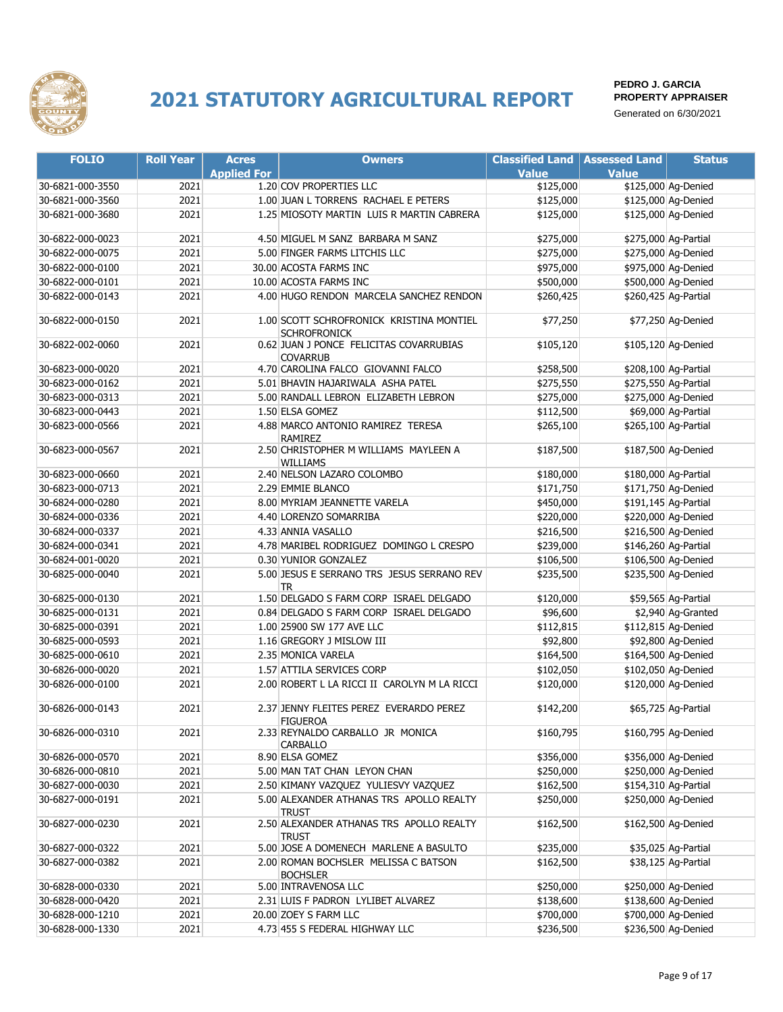

| <b>FOLIO</b>     | <b>Roll Year</b> | <b>Acres</b>       | <b>Owners</b>                                                   | <b>Classified Land</b> | <b>Assessed Land</b> | <b>Status</b>        |
|------------------|------------------|--------------------|-----------------------------------------------------------------|------------------------|----------------------|----------------------|
|                  |                  | <b>Applied For</b> |                                                                 | <b>Value</b>           | <b>Value</b>         |                      |
| 30-6821-000-3550 | 2021             |                    | 1.20 COV PROPERTIES LLC                                         | \$125,000              |                      | \$125,000 Ag-Denied  |
| 30-6821-000-3560 | 2021             |                    | 1.00 JUAN L TORRENS RACHAEL E PETERS                            | \$125,000              |                      | \$125,000 Ag-Denied  |
| 30-6821-000-3680 | 2021             |                    | 1.25 MIOSOTY MARTIN LUIS R MARTIN CABRERA                       | \$125,000              |                      | \$125,000 Ag-Denied  |
|                  |                  |                    |                                                                 |                        |                      |                      |
| 30-6822-000-0023 | 2021             |                    | 4.50 MIGUEL M SANZ BARBARA M SANZ                               | \$275,000              |                      | \$275,000 Ag-Partial |
| 30-6822-000-0075 | 2021             |                    | 5.00 FINGER FARMS LITCHIS LLC                                   | \$275,000              |                      | \$275,000 Ag-Denied  |
| 30-6822-000-0100 | 2021             |                    | 30.00 ACOSTA FARMS INC                                          | \$975,000              |                      | \$975,000 Ag-Denied  |
| 30-6822-000-0101 | 2021             |                    | 10.00 ACOSTA FARMS INC                                          | \$500,000              |                      | \$500,000 Ag-Denied  |
| 30-6822-000-0143 | 2021             |                    | 4.00 HUGO RENDON MARCELA SANCHEZ RENDON                         | \$260,425              |                      | \$260,425 Ag-Partial |
| 30-6822-000-0150 | 2021             |                    | 1.00 SCOTT SCHROFRONICK KRISTINA MONTIEL<br><b>SCHROFRONICK</b> | \$77,250               |                      | \$77,250 Ag-Denied   |
| 30-6822-002-0060 | 2021             |                    | 0.62 JUAN J PONCE FELICITAS COVARRUBIAS<br><b>COVARRUB</b>      | \$105,120              |                      | \$105,120 Ag-Denied  |
| 30-6823-000-0020 | 2021             |                    | 4.70 CAROLINA FALCO GIOVANNI FALCO                              | \$258,500              |                      | \$208,100 Ag-Partial |
| 30-6823-000-0162 | 2021             |                    | 5.01 BHAVIN HAJARIWALA ASHA PATEL                               | \$275,550              |                      | \$275,550 Ag-Partial |
| 30-6823-000-0313 | 2021             |                    | 5.00 RANDALL LEBRON ELIZABETH LEBRON                            | \$275,000              |                      | \$275,000 Ag-Denied  |
| 30-6823-000-0443 | 2021             |                    | 1.50 ELSA GOMEZ                                                 | \$112,500              |                      | \$69,000 Ag-Partial  |
| 30-6823-000-0566 | 2021             |                    | 4.88 MARCO ANTONIO RAMIREZ TERESA<br>RAMIREZ                    | \$265,100              |                      | \$265,100 Ag-Partial |
| 30-6823-000-0567 | 2021             |                    | 2.50 CHRISTOPHER M WILLIAMS MAYLEEN A<br>WILLIAMS               | \$187,500              |                      | \$187,500 Ag-Denied  |
| 30-6823-000-0660 | 2021             |                    | 2.40 NELSON LAZARO COLOMBO                                      | \$180,000              |                      | \$180,000 Ag-Partial |
| 30-6823-000-0713 | 2021             |                    | 2.29 EMMIE BLANCO                                               | \$171,750              |                      | \$171,750 Ag-Denied  |
| 30-6824-000-0280 | 2021             |                    | 8.00 MYRIAM JEANNETTE VARELA                                    | \$450,000              |                      | \$191,145 Ag-Partial |
| 30-6824-000-0336 | 2021             |                    | 4.40 LORENZO SOMARRIBA                                          | \$220,000              |                      | \$220,000 Ag-Denied  |
| 30-6824-000-0337 | 2021             |                    | 4.33 ANNIA VASALLO                                              | \$216,500              |                      | \$216,500 Ag-Denied  |
| 30-6824-000-0341 | 2021             |                    | 4.78 MARIBEL RODRIGUEZ DOMINGO L CRESPO                         | \$239,000              |                      | \$146,260 Ag-Partial |
| 30-6824-001-0020 | 2021             |                    | 0.30 YUNIOR GONZALEZ                                            | \$106,500              |                      | \$106,500 Ag-Denied  |
| 30-6825-000-0040 | 2021             |                    | 5.00 JESUS E SERRANO TRS JESUS SERRANO REV<br><b>TR</b>         | \$235,500              |                      | \$235,500 Ag-Denied  |
| 30-6825-000-0130 | 2021             |                    | 1.50 DELGADO S FARM CORP ISRAEL DELGADO                         | \$120,000              |                      | \$59,565 Ag-Partial  |
| 30-6825-000-0131 | 2021             |                    | 0.84 DELGADO S FARM CORP ISRAEL DELGADO                         | \$96,600               |                      | \$2,940 Ag-Granted   |
| 30-6825-000-0391 | 2021             |                    | 1.00 25900 SW 177 AVE LLC                                       | \$112,815              |                      | \$112,815 Ag-Denied  |
| 30-6825-000-0593 | 2021             |                    | 1.16 GREGORY J MISLOW III                                       | \$92,800               |                      | \$92,800 Ag-Denied   |
| 30-6825-000-0610 | 2021             |                    | 2.35 MONICA VARELA                                              | \$164,500              |                      | \$164,500 Ag-Denied  |
| 30-6826-000-0020 | 2021             |                    | 1.57 ATTILA SERVICES CORP                                       | \$102,050              |                      | \$102,050 Ag-Denied  |
| 30-6826-000-0100 | 2021             |                    | 2.00 ROBERT L LA RICCI II CAROLYN M LA RICCI                    | \$120,000              |                      | \$120,000 Ag-Denied  |
| 30-6826-000-0143 | 2021             |                    | 2.37 JENNY FLEITES PEREZ EVERARDO PEREZ<br><b>FIGUEROA</b>      | \$142,200              |                      | \$65,725 Ag-Partial  |
| 30-6826-000-0310 | 2021             |                    | 2.33 REYNALDO CARBALLO JR MONICA<br>CARBALLO                    | \$160,795              |                      | \$160,795 Ag-Denied  |
| 30-6826-000-0570 | 2021             |                    | 8.90 ELSA GOMEZ                                                 | \$356,000              |                      | \$356,000 Ag-Denied  |
| 30-6826-000-0810 | 2021             |                    | 5.00 MAN TAT CHAN LEYON CHAN                                    | \$250,000              |                      | \$250,000 Ag-Denied  |
| 30-6827-000-0030 | 2021             |                    | 2.50 KIMANY VAZQUEZ YULIESVY VAZQUEZ                            | \$162,500              |                      | \$154,310 Ag-Partial |
| 30-6827-000-0191 | 2021             |                    | 5.00 ALEXANDER ATHANAS TRS APOLLO REALTY                        | \$250,000              |                      | \$250,000 Ag-Denied  |
|                  |                  |                    | <b>TRUST</b>                                                    |                        |                      |                      |
| 30-6827-000-0230 | 2021             |                    | 2.50 ALEXANDER ATHANAS TRS APOLLO REALTY<br><b>TRUST</b>        | \$162,500              |                      | \$162,500 Ag-Denied  |
| 30-6827-000-0322 | 2021             |                    | 5.00 JOSE A DOMENECH MARLENE A BASULTO                          | \$235,000              |                      | \$35,025 Ag-Partial  |
| 30-6827-000-0382 | 2021             |                    | 2.00 ROMAN BOCHSLER MELISSA C BATSON<br><b>BOCHSLER</b>         | \$162,500              |                      | \$38,125 Ag-Partial  |
| 30-6828-000-0330 | 2021             |                    | 5.00 INTRAVENOSA LLC                                            | \$250,000              |                      | \$250,000 Ag-Denied  |
| 30-6828-000-0420 | 2021             |                    | 2.31 LUIS F PADRON LYLIBET ALVAREZ                              | \$138,600              |                      | \$138,600 Ag-Denied  |
| 30-6828-000-1210 | 2021             |                    | 20.00 ZOEY S FARM LLC                                           | \$700,000              |                      | \$700,000 Ag-Denied  |
| 30-6828-000-1330 | 2021             |                    | 4.73 455 S FEDERAL HIGHWAY LLC                                  | \$236,500              |                      | \$236,500 Ag-Denied  |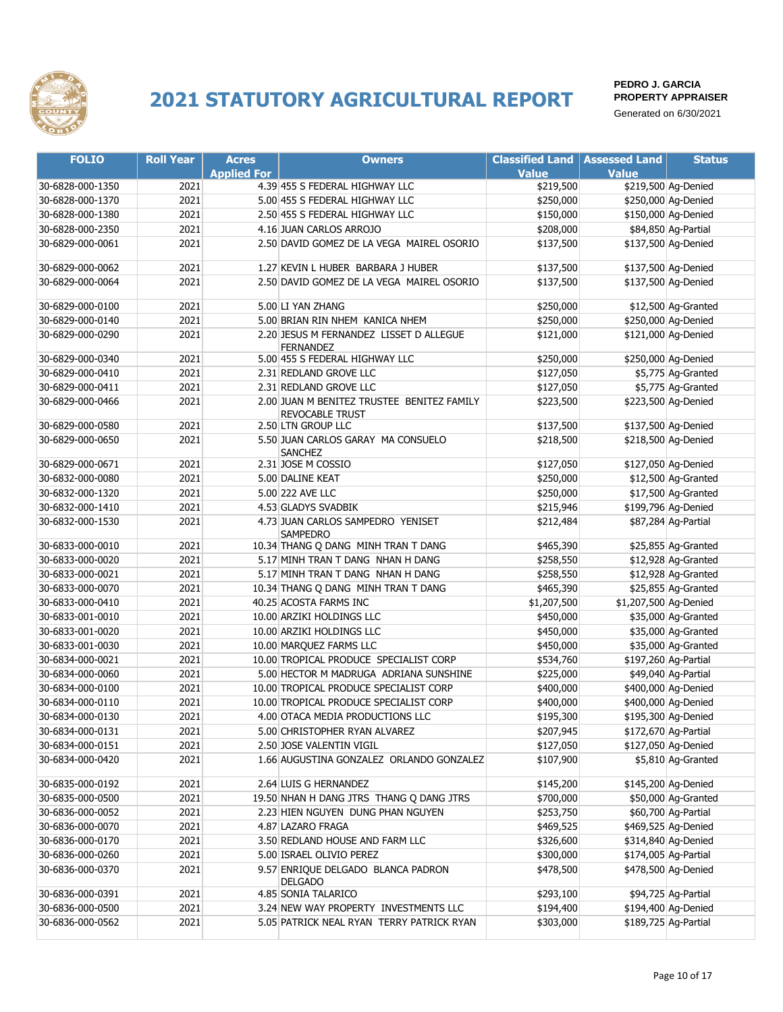

| <b>FOLIO</b>     | <b>Roll Year</b> | <b>Acres</b>       | <b>Owners</b>                                                        | <b>Classified Land   Assessed Land</b> |                       | <b>Status</b>        |
|------------------|------------------|--------------------|----------------------------------------------------------------------|----------------------------------------|-----------------------|----------------------|
|                  |                  | <b>Applied For</b> |                                                                      | <b>Value</b>                           | <b>Value</b>          |                      |
| 30-6828-000-1350 | 2021             |                    | 4.39 455 S FEDERAL HIGHWAY LLC                                       | \$219,500                              |                       | \$219,500 Ag-Denied  |
| 30-6828-000-1370 | 2021             |                    | 5.00 455 S FEDERAL HIGHWAY LLC                                       | \$250,000                              |                       | \$250,000 Ag-Denied  |
| 30-6828-000-1380 | 2021             |                    | 2.50 455 S FEDERAL HIGHWAY LLC                                       | \$150,000                              |                       | \$150,000 Ag-Denied  |
| 30-6828-000-2350 | 2021             |                    | 4.16 JUAN CARLOS ARROJO                                              | \$208,000                              |                       | \$84,850 Ag-Partial  |
| 30-6829-000-0061 | 2021             |                    | 2.50 DAVID GOMEZ DE LA VEGA MAIREL OSORIO                            | \$137,500                              |                       | \$137,500 Ag-Denied  |
| 30-6829-000-0062 | 2021             |                    | 1.27 KEVIN L HUBER BARBARA J HUBER                                   | \$137,500                              |                       | \$137,500 Ag-Denied  |
| 30-6829-000-0064 | 2021             |                    | 2.50 DAVID GOMEZ DE LA VEGA MAIREL OSORIO                            | \$137,500                              |                       | \$137,500 Ag-Denied  |
| 30-6829-000-0100 | 2021             |                    | 5.00 LI YAN ZHANG                                                    | \$250,000                              |                       | \$12,500 Ag-Granted  |
| 30-6829-000-0140 | 2021             |                    | 5.00 BRIAN RIN NHEM KANICA NHEM                                      | \$250,000                              |                       | \$250,000 Ag-Denied  |
| 30-6829-000-0290 | 2021             |                    | 2.20 JESUS M FERNANDEZ LISSET D ALLEGUE<br><b>FERNANDEZ</b>          | \$121,000                              |                       | \$121,000 Ag-Denied  |
| 30-6829-000-0340 | 2021             |                    | 5.00 455 S FEDERAL HIGHWAY LLC                                       | \$250,000                              |                       | \$250,000 Ag-Denied  |
| 30-6829-000-0410 | 2021             |                    | 2.31 REDLAND GROVE LLC                                               | \$127,050                              |                       | \$5,775 Ag-Granted   |
| 30-6829-000-0411 | 2021             |                    | 2.31 REDLAND GROVE LLC                                               | \$127,050                              |                       | \$5,775 Ag-Granted   |
| 30-6829-000-0466 | 2021             |                    | 2.00 JUAN M BENITEZ TRUSTEE BENITEZ FAMILY<br><b>REVOCABLE TRUST</b> | \$223,500                              |                       | \$223,500 Ag-Denied  |
| 30-6829-000-0580 | 2021             |                    | 2.50 LTN GROUP LLC                                                   | \$137,500                              |                       | \$137,500 Ag-Denied  |
| 30-6829-000-0650 | 2021             |                    | 5.50 JUAN CARLOS GARAY MA CONSUELO<br><b>SANCHEZ</b>                 | \$218,500                              |                       | \$218,500 Ag-Denied  |
| 30-6829-000-0671 | 2021             |                    | 2.31 JOSE M COSSIO                                                   | \$127,050                              |                       | \$127,050 Ag-Denied  |
| 30-6832-000-0080 | 2021             |                    | 5.00 DALINE KEAT                                                     | \$250,000                              |                       | \$12,500 Ag-Granted  |
| 30-6832-000-1320 | 2021             |                    | 5.00 222 AVE LLC                                                     | \$250,000                              |                       | \$17,500 Ag-Granted  |
| 30-6832-000-1410 | 2021             |                    | 4.53 GLADYS SVADBIK                                                  | \$215,946                              |                       | \$199,796 Ag-Denied  |
| 30-6832-000-1530 | 2021             |                    | 4.73 JUAN CARLOS SAMPEDRO YENISET<br>SAMPEDRO                        | \$212,484                              |                       | \$87,284 Ag-Partial  |
| 30-6833-000-0010 | 2021             |                    | 10.34 THANG Q DANG MINH TRAN T DANG                                  | \$465,390                              |                       | \$25,855 Ag-Granted  |
| 30-6833-000-0020 | 2021             |                    | 5.17 MINH TRAN T DANG NHAN H DANG                                    | \$258,550                              |                       | \$12,928 Ag-Granted  |
| 30-6833-000-0021 | 2021             |                    | 5.17 MINH TRAN T DANG NHAN H DANG                                    | \$258,550                              |                       | \$12,928 Ag-Granted  |
| 30-6833-000-0070 | 2021             |                    | 10.34 THANG Q DANG MINH TRAN T DANG                                  | \$465,390                              |                       | \$25,855 Ag-Granted  |
| 30-6833-000-0410 | 2021             |                    | 40.25 ACOSTA FARMS INC                                               | \$1,207,500                            | \$1,207,500 Ag-Denied |                      |
| 30-6833-001-0010 | 2021             |                    | 10.00 ARZIKI HOLDINGS LLC                                            | \$450,000                              |                       | \$35,000 Ag-Granted  |
| 30-6833-001-0020 | 2021             |                    | 10.00 ARZIKI HOLDINGS LLC                                            | \$450,000                              |                       | \$35,000 Ag-Granted  |
| 30-6833-001-0030 | 2021             |                    | 10.00 MARQUEZ FARMS LLC                                              | \$450,000                              |                       | \$35,000 Ag-Granted  |
| 30-6834-000-0021 | 2021             |                    | 10.00 TROPICAL PRODUCE SPECIALIST CORP                               | \$534,760                              |                       | \$197,260 Ag-Partial |
| 30-6834-000-0060 | 2021             |                    | 5.00 HECTOR M MADRUGA ADRIANA SUNSHINE                               | \$225,000                              |                       | \$49,040 Ag-Partial  |
| 30-6834-000-0100 | 2021             |                    | 10.00 TROPICAL PRODUCE SPECIALIST CORP                               | \$400,000                              |                       | \$400,000 Ag-Denied  |
| 30-6834-000-0110 | 2021             |                    | 10.00 TROPICAL PRODUCE SPECIALIST CORP                               | \$400,000                              |                       | \$400,000 Ag-Denied  |
| 30-6834-000-0130 | 2021             |                    | 4.00 OTACA MEDIA PRODUCTIONS LLC                                     | \$195,300                              |                       | \$195,300 Ag-Denied  |
| 30-6834-000-0131 | 2021             |                    | 5.00 CHRISTOPHER RYAN ALVAREZ                                        | \$207,945                              |                       | \$172,670 Ag-Partial |
| 30-6834-000-0151 | 2021             |                    | 2.50 JOSE VALENTIN VIGIL                                             | \$127,050                              |                       | \$127,050 Ag-Denied  |
| 30-6834-000-0420 | 2021             |                    | 1.66 AUGUSTINA GONZALEZ ORLANDO GONZALEZ                             | \$107,900                              |                       | \$5,810 Ag-Granted   |
| 30-6835-000-0192 | 2021             |                    | 2.64 LUIS G HERNANDEZ                                                | \$145,200                              |                       | \$145,200 Ag-Denied  |
| 30-6835-000-0500 | 2021             |                    | 19.50 NHAN H DANG JTRS THANG Q DANG JTRS                             | \$700,000                              |                       | \$50,000 Ag-Granted  |
| 30-6836-000-0052 | 2021             |                    | 2.23 HIEN NGUYEN DUNG PHAN NGUYEN                                    | \$253,750                              |                       | \$60,700 Ag-Partial  |
| 30-6836-000-0070 | 2021             |                    | 4.87 LAZARO FRAGA                                                    | \$469,525                              |                       | \$469,525 Ag-Denied  |
| 30-6836-000-0170 | 2021             |                    | 3.50 REDLAND HOUSE AND FARM LLC                                      | \$326,600                              |                       | \$314,840 Ag-Denied  |
| 30-6836-000-0260 | 2021             |                    | 5.00 ISRAEL OLIVIO PEREZ                                             | \$300,000                              |                       | \$174,005 Ag-Partial |
| 30-6836-000-0370 | 2021             |                    | 9.57 ENRIQUE DELGADO BLANCA PADRON<br><b>DELGADO</b>                 | \$478,500                              |                       | \$478,500 Ag-Denied  |
| 30-6836-000-0391 | 2021             |                    | 4.85 SONIA TALARICO                                                  | \$293,100                              |                       | \$94,725 Ag-Partial  |
| 30-6836-000-0500 | 2021             |                    | 3.24 NEW WAY PROPERTY INVESTMENTS LLC                                | \$194,400                              |                       | \$194,400 Ag-Denied  |
| 30-6836-000-0562 | 2021             |                    | 5.05 PATRICK NEAL RYAN TERRY PATRICK RYAN                            | \$303,000                              |                       | \$189,725 Ag-Partial |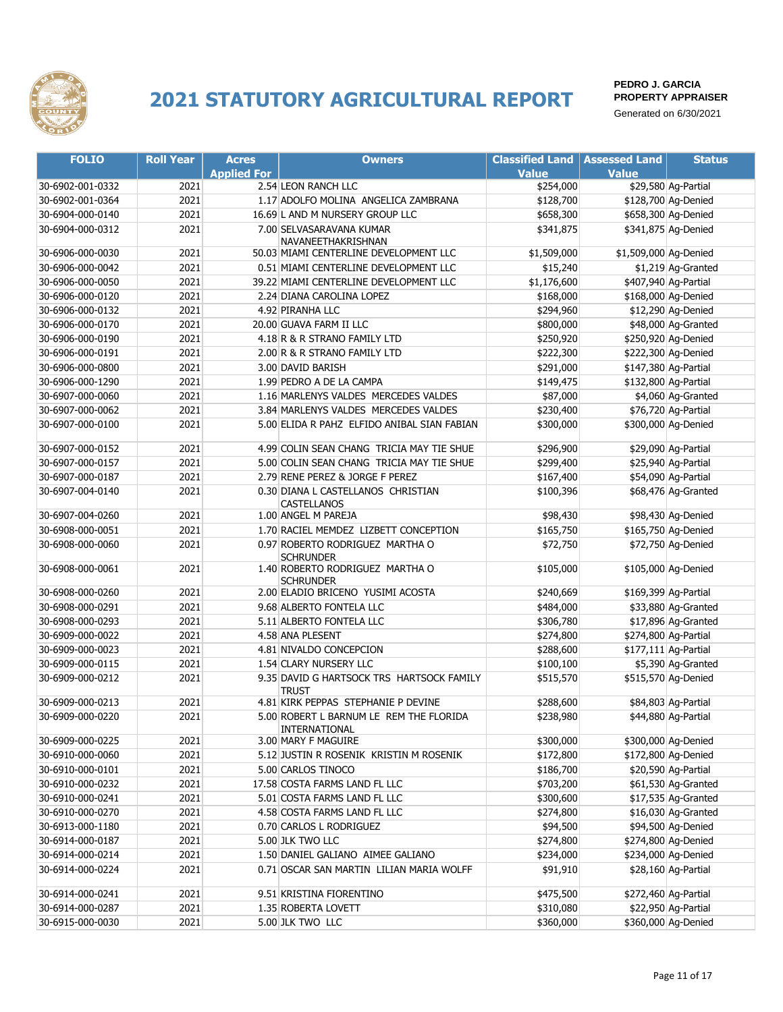

| <b>FOLIO</b>     | <b>Roll Year</b> | <b>Acres</b>       | <b>Owners</b>                                             | <b>Classified Land</b> | <b>Assessed Land</b>  | <b>Status</b>        |
|------------------|------------------|--------------------|-----------------------------------------------------------|------------------------|-----------------------|----------------------|
|                  |                  | <b>Applied For</b> |                                                           | <b>Value</b>           | <b>Value</b>          |                      |
| 30-6902-001-0332 | 2021             |                    | 2.54 LEON RANCH LLC                                       | \$254,000              |                       | \$29,580 Ag-Partial  |
| 30-6902-001-0364 | 2021             |                    | 1.17 ADOLFO MOLINA ANGELICA ZAMBRANA                      | \$128,700              |                       | \$128,700 Ag-Denied  |
| 30-6904-000-0140 | 2021             |                    | 16.69 L AND M NURSERY GROUP LLC                           | \$658,300              |                       | \$658,300 Ag-Denied  |
| 30-6904-000-0312 | 2021             |                    | 7.00 SELVASARAVANA KUMAR<br>NAVANEETHAKRISHNAN            | \$341,875              |                       | \$341,875 Ag-Denied  |
| 30-6906-000-0030 | 2021             |                    | 50.03 MIAMI CENTERLINE DEVELOPMENT LLC                    | \$1,509,000            | \$1,509,000 Ag-Denied |                      |
| 30-6906-000-0042 | 2021             |                    | 0.51 MIAMI CENTERLINE DEVELOPMENT LLC                     | \$15,240               |                       | \$1,219 Ag-Granted   |
| 30-6906-000-0050 | 2021             |                    | 39.22 MIAMI CENTERLINE DEVELOPMENT LLC                    | \$1,176,600            |                       | \$407,940 Ag-Partial |
| 30-6906-000-0120 | 2021             |                    | 2.24 DIANA CAROLINA LOPEZ                                 | \$168,000              |                       | \$168,000 Ag-Denied  |
| 30-6906-000-0132 | 2021             |                    | 4.92 PIRANHA LLC                                          | \$294,960              |                       | \$12,290 Ag-Denied   |
| 30-6906-000-0170 | 2021             |                    | 20.00 GUAVA FARM II LLC                                   | \$800,000              |                       | \$48,000 Ag-Granted  |
| 30-6906-000-0190 | 2021             |                    | 4.18 R & R STRANO FAMILY LTD                              | \$250,920              |                       | \$250,920 Ag-Denied  |
| 30-6906-000-0191 | 2021             |                    | 2.00 R & R STRANO FAMILY LTD                              | \$222,300              |                       | \$222,300 Ag-Denied  |
| 30-6906-000-0800 | 2021             |                    | 3.00 DAVID BARISH                                         | \$291,000              |                       | \$147,380 Ag-Partial |
| 30-6906-000-1290 | 2021             |                    | 1.99 PEDRO A DE LA CAMPA                                  | \$149,475              |                       | \$132,800 Ag-Partial |
| 30-6907-000-0060 | 2021             |                    | 1.16 MARLENYS VALDES MERCEDES VALDES                      | \$87,000               |                       | \$4,060 Ag-Granted   |
| 30-6907-000-0062 | 2021             |                    | 3.84 MARLENYS VALDES MERCEDES VALDES                      | \$230,400              |                       | \$76,720 Ag-Partial  |
| 30-6907-000-0100 | 2021             |                    | 5.00 ELIDA R PAHZ ELFIDO ANIBAL SIAN FABIAN               | \$300,000              |                       | \$300,000 Ag-Denied  |
| 30-6907-000-0152 | 2021             |                    | 4.99 COLIN SEAN CHANG TRICIA MAY TIE SHUE                 | \$296,900              |                       | \$29,090 Ag-Partial  |
| 30-6907-000-0157 | 2021             |                    | 5.00 COLIN SEAN CHANG TRICIA MAY TIE SHUE                 | \$299,400              |                       | \$25,940 Ag-Partial  |
| 30-6907-000-0187 | 2021             |                    | 2.79 RENE PEREZ & JORGE F PEREZ                           | \$167,400              |                       | \$54,090 Ag-Partial  |
| 30-6907-004-0140 | 2021             |                    | 0.30 DIANA L CASTELLANOS CHRISTIAN<br><b>CASTELLANOS</b>  | \$100,396              |                       | \$68,476 Ag-Granted  |
| 30-6907-004-0260 | 2021             |                    | 1.00 ANGEL M PAREJA                                       | \$98,430               |                       | \$98,430 Ag-Denied   |
| 30-6908-000-0051 | 2021             |                    | 1.70 RACIEL MEMDEZ LIZBETT CONCEPTION                     | \$165,750              |                       | \$165,750 Ag-Denied  |
| 30-6908-000-0060 | 2021             |                    | 0.97 ROBERTO RODRIGUEZ MARTHA O<br><b>SCHRUNDER</b>       | \$72,750               |                       | \$72,750 Ag-Denied   |
| 30-6908-000-0061 | 2021             |                    | 1.40 ROBERTO RODRIGUEZ MARTHA O<br><b>SCHRUNDER</b>       | \$105,000              |                       | \$105,000 Ag-Denied  |
| 30-6908-000-0260 | 2021             |                    | 2.00 ELADIO BRICENO YUSIMI ACOSTA                         | \$240,669              |                       | \$169,399 Ag-Partial |
| 30-6908-000-0291 | 2021             |                    | 9.68 ALBERTO FONTELA LLC                                  | \$484,000              |                       | \$33,880 Ag-Granted  |
| 30-6908-000-0293 | 2021             |                    | 5.11 ALBERTO FONTELA LLC                                  | \$306,780              |                       | \$17,896 Ag-Granted  |
| 30-6909-000-0022 | 2021             |                    | 4.58 ANA PLESENT                                          | \$274,800              |                       | \$274,800 Ag-Partial |
| 30-6909-000-0023 | 2021             |                    | 4.81 NIVALDO CONCEPCION                                   | \$288,600              |                       | \$177,111 Ag-Partial |
| 30-6909-000-0115 | 2021             |                    | 1.54 CLARY NURSERY LLC                                    | \$100,100              |                       | \$5,390 Ag-Granted   |
| 30-6909-000-0212 | 2021             |                    | 9.35 DAVID G HARTSOCK TRS HARTSOCK FAMILY<br><b>TRUST</b> | \$515,570              |                       | \$515,570 Ag-Denied  |
| 30-6909-000-0213 | 2021             |                    | 4.81 KIRK PEPPAS STEPHANIE P DEVINE                       | \$288,600              |                       | \$84,803 Ag-Partial  |
| 30-6909-000-0220 | 2021             |                    | 5.00 ROBERT L BARNUM LE REM THE FLORIDA<br>INTERNATIONAL  | \$238,980              |                       | \$44,880 Ag-Partial  |
| 30-6909-000-0225 | 2021             |                    | 3.00 MARY F MAGUIRE                                       | \$300,000              |                       | \$300,000 Ag-Denied  |
| 30-6910-000-0060 | 2021             |                    | 5.12 JUSTIN R ROSENIK KRISTIN M ROSENIK                   | \$172,800              |                       | \$172,800 Ag-Denied  |
| 30-6910-000-0101 | 2021             |                    | 5.00 CARLOS TINOCO                                        | \$186,700              |                       | \$20,590 Ag-Partial  |
| 30-6910-000-0232 | 2021             |                    | 17.58 COSTA FARMS LAND FL LLC                             | \$703,200              |                       | \$61,530 Ag-Granted  |
| 30-6910-000-0241 | 2021             |                    | 5.01 COSTA FARMS LAND FL LLC                              | \$300,600              |                       | \$17,535 Ag-Granted  |
| 30-6910-000-0270 | 2021             |                    | 4.58 COSTA FARMS LAND FL LLC                              | \$274,800              |                       | \$16,030 Ag-Granted  |
| 30-6913-000-1180 | 2021             |                    | 0.70 CARLOS L RODRIGUEZ                                   | \$94,500               |                       | \$94,500 Ag-Denied   |
| 30-6914-000-0187 | 2021             |                    | 5.00 JLK TWO LLC                                          | \$274,800              |                       | \$274,800 Ag-Denied  |
| 30-6914-000-0214 | 2021             |                    | 1.50 DANIEL GALIANO AIMEE GALIANO                         | \$234,000              |                       | \$234,000 Ag-Denied  |
| 30-6914-000-0224 | 2021             |                    | 0.71 OSCAR SAN MARTIN LILIAN MARIA WOLFF                  | \$91,910               |                       | \$28,160 Ag-Partial  |
| 30-6914-000-0241 | 2021             |                    | 9.51 KRISTINA FIORENTINO                                  | \$475,500              |                       | \$272,460 Ag-Partial |
| 30-6914-000-0287 | 2021             |                    | 1.35 ROBERTA LOVETT                                       | \$310,080              |                       | \$22,950 Ag-Partial  |
| 30-6915-000-0030 | 2021             |                    | 5.00 JLK TWO LLC                                          | \$360,000              |                       | \$360,000 Ag-Denied  |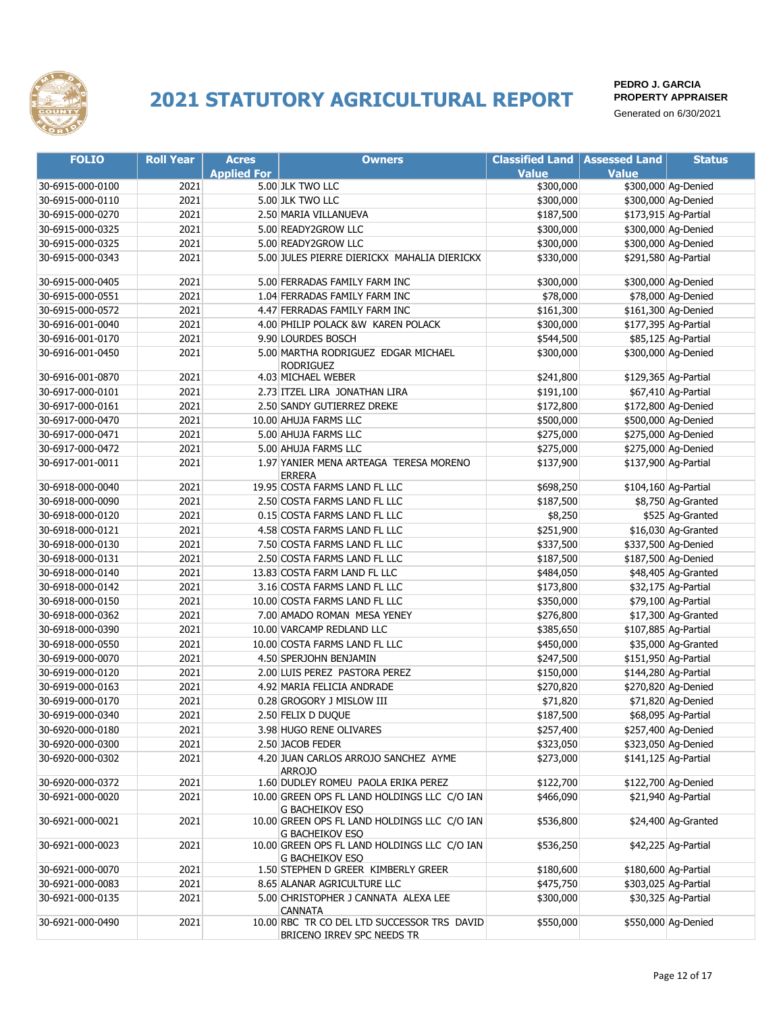

| <b>FOLIO</b>     | <b>Roll Year</b> | <b>Acres</b>       | <b>Owners</b>                                                          | <b>Classified Land</b> | <b>Assessed Land</b> | <b>Status</b>        |
|------------------|------------------|--------------------|------------------------------------------------------------------------|------------------------|----------------------|----------------------|
|                  |                  | <b>Applied For</b> |                                                                        | <b>Value</b>           | <b>Value</b>         |                      |
| 30-6915-000-0100 | 2021             |                    | 5.00 JLK TWO LLC                                                       | \$300,000              |                      | \$300,000 Ag-Denied  |
| 30-6915-000-0110 | 2021             |                    | 5.00 JLK TWO LLC                                                       | \$300,000              |                      | \$300,000 Ag-Denied  |
| 30-6915-000-0270 | 2021             |                    | 2.50 MARIA VILLANUEVA                                                  | \$187,500              |                      | \$173,915 Ag-Partial |
| 30-6915-000-0325 | 2021             |                    | 5.00 READY2GROW LLC                                                    | \$300,000              |                      | \$300,000 Ag-Denied  |
| 30-6915-000-0325 | 2021             |                    | 5.00 READY2GROW LLC                                                    | \$300,000              |                      | \$300,000 Ag-Denied  |
| 30-6915-000-0343 | 2021             |                    | 5.00 JULES PIERRE DIERICKX MAHALIA DIERICKX                            | \$330,000              |                      | \$291,580 Ag-Partial |
|                  |                  |                    |                                                                        |                        |                      |                      |
| 30-6915-000-0405 | 2021             |                    | 5.00 FERRADAS FAMILY FARM INC                                          | \$300,000              |                      | \$300,000 Ag-Denied  |
| 30-6915-000-0551 | 2021             |                    | 1.04 FERRADAS FAMILY FARM INC                                          | \$78,000               |                      | \$78,000 Ag-Denied   |
| 30-6915-000-0572 | 2021             |                    | 4.47 FERRADAS FAMILY FARM INC                                          | \$161,300              |                      | \$161,300 Ag-Denied  |
| 30-6916-001-0040 | 2021             |                    | 4.00 PHILIP POLACK &W KAREN POLACK                                     | \$300,000              |                      | \$177,395 Ag-Partial |
| 30-6916-001-0170 | 2021             |                    | 9.90 LOURDES BOSCH                                                     | \$544,500              |                      | \$85,125 Ag-Partial  |
| 30-6916-001-0450 | 2021             |                    | 5.00 MARTHA RODRIGUEZ EDGAR MICHAEL<br><b>RODRIGUEZ</b>                | \$300,000              |                      | \$300,000 Ag-Denied  |
| 30-6916-001-0870 | 2021             |                    | 4.03 MICHAEL WEBER                                                     | \$241,800              |                      | \$129,365 Ag-Partial |
| 30-6917-000-0101 | 2021             |                    | 2.73 ITZEL LIRA JONATHAN LIRA                                          | \$191,100              |                      | \$67,410 Ag-Partial  |
| 30-6917-000-0161 | 2021             |                    | 2.50 SANDY GUTIERREZ DREKE                                             | \$172,800              |                      | \$172,800 Ag-Denied  |
| 30-6917-000-0470 | 2021             |                    | 10.00 AHUJA FARMS LLC                                                  | \$500,000              |                      | \$500,000 Ag-Denied  |
| 30-6917-000-0471 | 2021             |                    | 5.00 AHUJA FARMS LLC                                                   | \$275,000              |                      | \$275,000 Ag-Denied  |
| 30-6917-000-0472 | 2021             |                    | 5.00 AHUJA FARMS LLC                                                   | \$275,000              |                      | \$275,000 Ag-Denied  |
| 30-6917-001-0011 | 2021             |                    | 1.97 YANIER MENA ARTEAGA TERESA MORENO                                 | \$137,900              |                      | \$137,900 Ag-Partial |
| 30-6918-000-0040 | 2021             |                    | <b>ERRERA</b><br>19.95 COSTA FARMS LAND FL LLC                         | \$698,250              |                      | \$104,160 Ag-Partial |
| 30-6918-000-0090 | 2021             |                    | 2.50 COSTA FARMS LAND FL LLC                                           | \$187,500              |                      | \$8,750 Ag-Granted   |
| 30-6918-000-0120 | 2021             |                    | 0.15 COSTA FARMS LAND FL LLC                                           |                        |                      | \$525 Ag-Granted     |
|                  |                  |                    |                                                                        | \$8,250                |                      |                      |
| 30-6918-000-0121 | 2021             |                    | 4.58 COSTA FARMS LAND FL LLC                                           | \$251,900              |                      | \$16,030 Ag-Granted  |
| 30-6918-000-0130 | 2021             |                    | 7.50 COSTA FARMS LAND FL LLC                                           | \$337,500              |                      | \$337,500 Ag-Denied  |
| 30-6918-000-0131 | 2021             |                    | 2.50 COSTA FARMS LAND FL LLC                                           | \$187,500              |                      | \$187,500 Ag-Denied  |
| 30-6918-000-0140 | 2021             |                    | 13.83 COSTA FARM LAND FL LLC                                           | \$484,050              |                      | \$48,405 Ag-Granted  |
| 30-6918-000-0142 | 2021             |                    | 3.16 COSTA FARMS LAND FL LLC                                           | \$173,800              |                      | \$32,175 Ag-Partial  |
| 30-6918-000-0150 | 2021             |                    | 10.00 COSTA FARMS LAND FL LLC                                          | \$350,000              |                      | \$79,100 Ag-Partial  |
| 30-6918-000-0362 | 2021             |                    | 7.00 AMADO ROMAN MESA YENEY                                            | \$276,800              |                      | \$17,300 Ag-Granted  |
| 30-6918-000-0390 | 2021             |                    | 10.00 VARCAMP REDLAND LLC                                              | \$385,650              |                      | \$107,885 Ag-Partial |
| 30-6918-000-0550 | 2021             |                    | 10.00 COSTA FARMS LAND FL LLC                                          | \$450,000              |                      | \$35,000 Ag-Granted  |
| 30-6919-000-0070 | 2021             |                    | 4.50 SPERJOHN BENJAMIN                                                 | \$247,500              |                      | \$151,950 Ag-Partial |
| 30-6919-000-0120 | 2021             |                    | 2.00 LUIS PEREZ PASTORA PEREZ                                          | \$150,000              |                      | \$144,280 Ag-Partial |
| 30-6919-000-0163 | 2021             |                    | 4.92 MARIA FELICIA ANDRADE                                             | \$270,820              |                      | \$270,820 Ag-Denied  |
| 30-6919-000-0170 | 2021             |                    | 0.28 GROGORY J MISLOW III                                              | \$71,820               |                      | \$71,820 Ag-Denied   |
| 30-6919-000-0340 | 2021             |                    | 2.50 FELIX D DUQUE                                                     | \$187,500              |                      | \$68,095 Ag-Partial  |
| 30-6920-000-0180 | 2021             |                    | 3.98 HUGO RENE OLIVARES                                                | \$257,400              |                      | \$257,400 Ag-Denied  |
| 30-6920-000-0300 | 2021             |                    | 2.50 JACOB FEDER                                                       | \$323,050              |                      | \$323,050 Ag-Denied  |
| 30-6920-000-0302 | 2021             |                    | 4.20 JUAN CARLOS ARROJO SANCHEZ AYME<br>ARROJO                         | \$273,000              |                      | \$141,125 Ag-Partial |
| 30-6920-000-0372 | 2021             |                    | 1.60 DUDLEY ROMEU PAOLA ERIKA PEREZ                                    | \$122,700              |                      | \$122,700 Ag-Denied  |
| 30-6921-000-0020 | 2021             |                    | 10.00 GREEN OPS FL LAND HOLDINGS LLC C/O IAN<br><b>G BACHEIKOV ESO</b> | \$466,090              |                      | \$21,940 Ag-Partial  |
| 30-6921-000-0021 | 2021             |                    | 10.00 GREEN OPS FL LAND HOLDINGS LLC C/O IAN<br><b>G BACHEIKOV ESO</b> | \$536,800              |                      | \$24,400 Ag-Granted  |
| 30-6921-000-0023 | 2021             |                    | 10.00 GREEN OPS FL LAND HOLDINGS LLC C/O IAN<br><b>G BACHEIKOV ESO</b> | \$536,250              |                      | \$42,225 Ag-Partial  |
| 30-6921-000-0070 | 2021             |                    | 1.50 STEPHEN D GREER KIMBERLY GREER                                    | \$180,600              |                      | \$180,600 Ag-Partial |
| 30-6921-000-0083 | 2021             |                    | 8.65 ALANAR AGRICULTURE LLC                                            | \$475,750              |                      | \$303,025 Ag-Partial |
| 30-6921-000-0135 | 2021             |                    | 5.00 CHRISTOPHER J CANNATA ALEXA LEE                                   | \$300,000              |                      | \$30,325 Ag-Partial  |
| 30-6921-000-0490 | 2021             |                    | <b>CANNATA</b><br>10.00 RBC TR CO DEL LTD SUCCESSOR TRS DAVID          | \$550,000              |                      | \$550,000 Ag-Denied  |
|                  |                  |                    | BRICENO IRREV SPC NEEDS TR                                             |                        |                      |                      |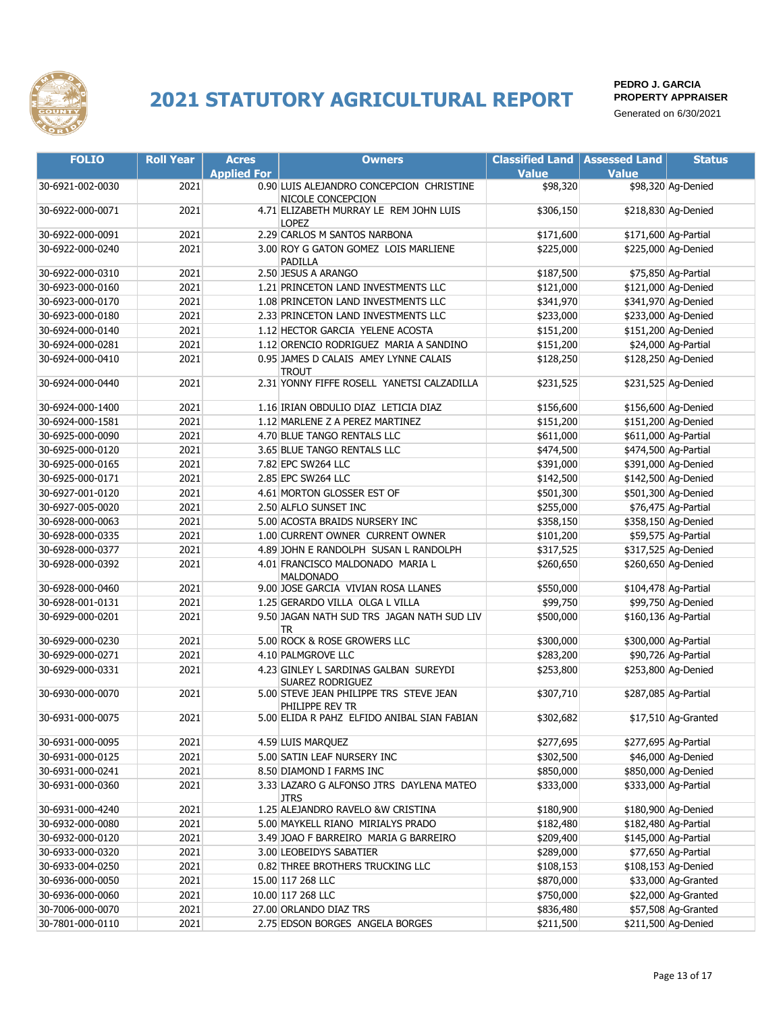

| <b>FOLIO</b>     | <b>Roll Year</b> | <b>Acres</b>       | <b>Owners</b>                                                    | <b>Classified Land</b> | <b>Assessed Land</b> | <b>Status</b>        |
|------------------|------------------|--------------------|------------------------------------------------------------------|------------------------|----------------------|----------------------|
|                  |                  | <b>Applied For</b> |                                                                  | <b>Value</b>           | <b>Value</b>         |                      |
| 30-6921-002-0030 | 2021             |                    | 0.90 LUIS ALEJANDRO CONCEPCION CHRISTINE<br>NICOLE CONCEPCION    | \$98,320               |                      | \$98,320 Ag-Denied   |
| 30-6922-000-0071 | 2021             |                    | 4.71 ELIZABETH MURRAY LE REM JOHN LUIS<br><b>LOPEZ</b>           | \$306,150              |                      | \$218,830 Ag-Denied  |
| 30-6922-000-0091 | 2021             |                    | 2.29 CARLOS M SANTOS NARBONA                                     | \$171,600              | \$171,600 Ag-Partial |                      |
| 30-6922-000-0240 | 2021             |                    | 3.00 ROY G GATON GOMEZ LOIS MARLIENE                             | \$225,000              |                      | \$225,000 Ag-Denied  |
|                  |                  |                    | PADILLA                                                          |                        |                      |                      |
| 30-6922-000-0310 | 2021             |                    | 2.50 JESUS A ARANGO                                              | \$187,500              |                      | \$75,850 Ag-Partial  |
| 30-6923-000-0160 | 2021             |                    | 1.21 PRINCETON LAND INVESTMENTS LLC                              | \$121,000              |                      | \$121,000 Ag-Denied  |
| 30-6923-000-0170 | 2021             |                    | 1.08 PRINCETON LAND INVESTMENTS LLC                              | \$341,970              |                      | \$341,970 Ag-Denied  |
| 30-6923-000-0180 | 2021             |                    | 2.33 PRINCETON LAND INVESTMENTS LLC                              | \$233,000              |                      | \$233,000 Ag-Denied  |
| 30-6924-000-0140 | 2021             |                    | 1.12 HECTOR GARCIA YELENE ACOSTA                                 | \$151,200              |                      | \$151,200 Ag-Denied  |
| 30-6924-000-0281 | 2021             |                    | 1.12 ORENCIO RODRIGUEZ MARIA A SANDINO                           | \$151,200              |                      | \$24,000 Ag-Partial  |
| 30-6924-000-0410 | 2021             |                    | 0.95 JAMES D CALAIS AMEY LYNNE CALAIS<br><b>TROUT</b>            | \$128,250              |                      | \$128,250 Ag-Denied  |
| 30-6924-000-0440 | 2021             |                    | 2.31 YONNY FIFFE ROSELL YANETSI CALZADILLA                       | \$231,525              |                      | \$231,525 Ag-Denied  |
| 30-6924-000-1400 | 2021             |                    | 1.16 IRIAN OBDULIO DIAZ LETICIA DIAZ                             | \$156,600              |                      | \$156,600 Ag-Denied  |
| 30-6924-000-1581 | 2021             |                    | 1.12 MARLENE Z A PEREZ MARTINEZ                                  | \$151,200              |                      | \$151,200 Ag-Denied  |
| 30-6925-000-0090 | 2021             |                    | 4.70 BLUE TANGO RENTALS LLC                                      | \$611,000              |                      | \$611,000 Ag-Partial |
| 30-6925-000-0120 | 2021             |                    | 3.65 BLUE TANGO RENTALS LLC                                      | \$474,500              |                      | \$474,500 Ag-Partial |
| 30-6925-000-0165 | 2021             |                    | 7.82 EPC SW264 LLC                                               | \$391,000              |                      | \$391,000 Ag-Denied  |
| 30-6925-000-0171 | 2021             |                    | 2.85 EPC SW264 LLC                                               | \$142,500              |                      | \$142,500 Ag-Denied  |
| 30-6927-001-0120 | 2021             |                    | 4.61 MORTON GLOSSER EST OF                                       | \$501,300              |                      | \$501,300 Ag-Denied  |
| 30-6927-005-0020 | 2021             |                    | 2.50 ALFLO SUNSET INC                                            | \$255,000              |                      | \$76,475 Ag-Partial  |
| 30-6928-000-0063 | 2021             |                    | 5.00 ACOSTA BRAIDS NURSERY INC                                   | \$358,150              |                      | \$358,150 Ag-Denied  |
| 30-6928-000-0335 | 2021             |                    | 1.00 CURRENT OWNER CURRENT OWNER                                 | \$101,200              |                      | \$59,575 Ag-Partial  |
| 30-6928-000-0377 | 2021             |                    | 4.89 JOHN E RANDOLPH SUSAN L RANDOLPH                            | \$317,525              |                      | \$317,525 Ag-Denied  |
| 30-6928-000-0392 | 2021             |                    | 4.01 FRANCISCO MALDONADO MARIA L<br><b>MALDONADO</b>             | \$260,650              |                      | \$260,650 Ag-Denied  |
| 30-6928-000-0460 | 2021             |                    | 9.00 JOSE GARCIA VIVIAN ROSA LLANES                              | \$550,000              |                      | \$104,478 Ag-Partial |
| 30-6928-001-0131 | 2021             |                    | 1.25 GERARDO VILLA OLGA L VILLA                                  | \$99,750               |                      | \$99,750 Ag-Denied   |
| 30-6929-000-0201 | 2021             |                    | 9.50 JAGAN NATH SUD TRS JAGAN NATH SUD LIV<br><b>TR</b>          | \$500,000              |                      | \$160,136 Ag-Partial |
| 30-6929-000-0230 | 2021             |                    | 5.00 ROCK & ROSE GROWERS LLC                                     | \$300,000              |                      | \$300,000 Ag-Partial |
| 30-6929-000-0271 | 2021             |                    | 4.10 PALMGROVE LLC                                               | \$283,200              |                      | \$90,726 Ag-Partial  |
| 30-6929-000-0331 | 2021             |                    | 4.23 GINLEY L SARDINAS GALBAN SUREYDI<br><b>SUAREZ RODRIGUEZ</b> | \$253,800              |                      | \$253,800 Ag-Denied  |
| 30-6930-000-0070 | 2021             |                    | 5.00 STEVE JEAN PHILIPPE TRS STEVE JEAN<br>PHILIPPE REV TR       | \$307,710              |                      | \$287,085 Ag-Partial |
| 30-6931-000-0075 | 2021             |                    | 5.00 ELIDA R PAHZ ELFIDO ANIBAL SIAN FABIAN                      | \$302,682              |                      | \$17,510 Ag-Granted  |
| 30-6931-000-0095 | 2021             |                    | 4.59 LUIS MARQUEZ                                                | \$277,695              |                      | \$277,695 Ag-Partial |
| 30-6931-000-0125 | 2021             |                    | 5.00 SATIN LEAF NURSERY INC                                      | \$302,500              |                      | \$46,000 Ag-Denied   |
| 30-6931-000-0241 | 2021             |                    | 8.50 DIAMOND I FARMS INC                                         | \$850,000              |                      | \$850,000 Ag-Denied  |
| 30-6931-000-0360 | 2021             |                    | 3.33 LAZARO G ALFONSO JTRS DAYLENA MATEO<br><b>JTRS</b>          | \$333,000              |                      | \$333,000 Ag-Partial |
| 30-6931-000-4240 | 2021             |                    | 1.25 ALEJANDRO RAVELO &W CRISTINA                                | \$180,900              |                      | \$180,900 Ag-Denied  |
| 30-6932-000-0080 | 2021             |                    | 5.00 MAYKELL RIANO MIRIALYS PRADO                                | \$182,480              |                      | \$182,480 Ag-Partial |
| 30-6932-000-0120 | 2021             |                    | 3.49 JOAO F BARREIRO MARIA G BARREIRO                            | \$209,400              |                      | \$145,000 Ag-Partial |
| 30-6933-000-0320 | 2021             |                    | 3.00 LEOBEIDYS SABATIER                                          | \$289,000              |                      | \$77,650 Ag-Partial  |
| 30-6933-004-0250 | 2021             |                    | 0.82 THREE BROTHERS TRUCKING LLC                                 | \$108,153              |                      | \$108,153 Ag-Denied  |
| 30-6936-000-0050 | 2021             |                    | 15.00 117 268 LLC                                                | \$870,000              |                      | \$33,000 Ag-Granted  |
| 30-6936-000-0060 | 2021             |                    | 10.00 117 268 LLC                                                | \$750,000              |                      | \$22,000 Ag-Granted  |
| 30-7006-000-0070 | 2021             |                    | 27.00 ORLANDO DIAZ TRS                                           | \$836,480              |                      | \$57,508 Ag-Granted  |
| 30-7801-000-0110 | 2021             |                    | 2.75 EDSON BORGES ANGELA BORGES                                  | \$211,500              |                      | \$211,500 Ag-Denied  |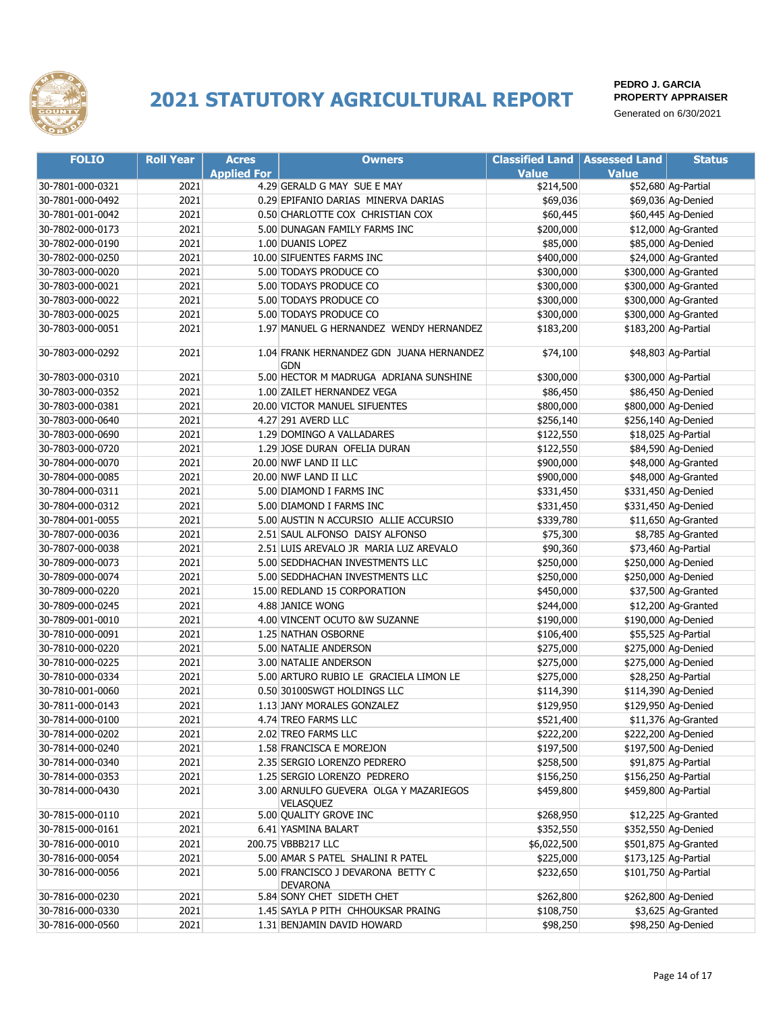

| <b>FOLIO</b>     | <b>Roll Year</b> | <b>Acres</b>       | <b>Owners</b>                                   | <b>Classified Land   Assessed Land</b> |              | <b>Status</b>        |
|------------------|------------------|--------------------|-------------------------------------------------|----------------------------------------|--------------|----------------------|
|                  |                  | <b>Applied For</b> |                                                 | <b>Value</b>                           | <b>Value</b> |                      |
| 30-7801-000-0321 | 2021             |                    | 4.29 GERALD G MAY SUE E MAY                     | \$214,500                              |              | \$52,680 Ag-Partial  |
| 30-7801-000-0492 | 2021             |                    | 0.29 EPIFANIO DARIAS MINERVA DARIAS             | \$69,036                               |              | \$69,036 Ag-Denied   |
| 30-7801-001-0042 | 2021             |                    | 0.50 CHARLOTTE COX CHRISTIAN COX                | \$60,445                               |              | \$60,445 Ag-Denied   |
| 30-7802-000-0173 | 2021             |                    | 5.00 DUNAGAN FAMILY FARMS INC                   | \$200,000                              |              | \$12,000 Ag-Granted  |
| 30-7802-000-0190 | 2021             |                    | 1.00 DUANIS LOPEZ                               | \$85,000                               |              | \$85,000 Ag-Denied   |
| 30-7802-000-0250 | 2021             |                    | 10.00 SIFUENTES FARMS INC                       | \$400,000                              |              | \$24,000 Ag-Granted  |
| 30-7803-000-0020 | 2021             |                    | 5.00 TODAYS PRODUCE CO                          | \$300,000                              |              | \$300,000 Ag-Granted |
| 30-7803-000-0021 | 2021             |                    | 5.00 TODAYS PRODUCE CO                          | \$300,000                              |              | \$300,000 Ag-Granted |
| 30-7803-000-0022 | 2021             |                    | 5.00 TODAYS PRODUCE CO                          | \$300,000                              |              | \$300,000 Ag-Granted |
| 30-7803-000-0025 | 2021             |                    | 5.00 TODAYS PRODUCE CO                          | \$300,000                              |              | \$300,000 Ag-Granted |
| 30-7803-000-0051 | 2021             |                    | 1.97 MANUEL G HERNANDEZ WENDY HERNANDEZ         | \$183,200                              |              | \$183,200 Ag-Partial |
| 30-7803-000-0292 | 2021             |                    | 1.04 FRANK HERNANDEZ GDN JUANA HERNANDEZ<br>GDN | \$74,100                               |              | \$48,803 Ag-Partial  |
| 30-7803-000-0310 | 2021             |                    | 5.00 HECTOR M MADRUGA ADRIANA SUNSHINE          | \$300,000                              |              | \$300,000 Ag-Partial |
| 30-7803-000-0352 | 2021             |                    | 1.00 ZAILET HERNANDEZ VEGA                      | \$86,450                               |              | \$86,450 Ag-Denied   |
| 30-7803-000-0381 | 2021             |                    | 20.00 VICTOR MANUEL SIFUENTES                   | \$800,000                              |              | \$800,000 Ag-Denied  |
| 30-7803-000-0640 | 2021             |                    | 4.27 291 AVERD LLC                              | \$256,140                              |              | \$256,140 Ag-Denied  |
| 30-7803-000-0690 | 2021             |                    | 1.29 DOMINGO A VALLADARES                       | \$122,550                              |              | \$18,025 Ag-Partial  |
| 30-7803-000-0720 | 2021             |                    | 1.29 JOSE DURAN OFELIA DURAN                    | \$122,550                              |              | \$84,590 Ag-Denied   |
| 30-7804-000-0070 | 2021             |                    | 20.00 NWF LAND II LLC                           | \$900,000                              |              | \$48,000 Ag-Granted  |
| 30-7804-000-0085 | 2021             |                    | 20.00 NWF LAND II LLC                           | \$900,000                              |              | \$48,000 Ag-Granted  |
| 30-7804-000-0311 | 2021             |                    | 5.00 DIAMOND I FARMS INC                        | \$331,450                              |              | \$331,450 Ag-Denied  |
| 30-7804-000-0312 | 2021             |                    | 5.00 DIAMOND I FARMS INC                        | \$331,450                              |              | \$331,450 Ag-Denied  |
| 30-7804-001-0055 | 2021             |                    | 5.00 AUSTIN N ACCURSIO ALLIE ACCURSIO           | \$339,780                              |              | \$11,650 Ag-Granted  |
| 30-7807-000-0036 | 2021             |                    | 2.51 SAUL ALFONSO DAISY ALFONSO                 | \$75,300                               |              | \$8,785 Ag-Granted   |
| 30-7807-000-0038 | 2021             |                    | 2.51 LUIS AREVALO JR MARIA LUZ AREVALO          | \$90,360                               |              | \$73,460 Ag-Partial  |
| 30-7809-000-0073 | 2021             |                    | 5.00 SEDDHACHAN INVESTMENTS LLC                 | \$250,000                              |              | \$250,000 Ag-Denied  |
| 30-7809-000-0074 | 2021             |                    | 5.00 SEDDHACHAN INVESTMENTS LLC                 | \$250,000                              |              | \$250,000 Ag-Denied  |
| 30-7809-000-0220 | 2021             |                    | 15.00 REDLAND 15 CORPORATION                    | \$450,000                              |              | \$37,500 Ag-Granted  |
| 30-7809-000-0245 | 2021             |                    | 4.88 JANICE WONG                                | \$244,000                              |              | \$12,200 Ag-Granted  |
| 30-7809-001-0010 | 2021             |                    | 4.00 VINCENT OCUTO &W SUZANNE                   | \$190,000                              |              | \$190,000 Ag-Denied  |
| 30-7810-000-0091 | 2021             |                    | 1.25 NATHAN OSBORNE                             | \$106,400                              |              | \$55,525 Ag-Partial  |
| 30-7810-000-0220 | 2021             |                    | 5.00 NATALIE ANDERSON                           | \$275,000                              |              | \$275,000 Ag-Denied  |
| 30-7810-000-0225 | 2021             |                    | 3.00 NATALIE ANDERSON                           | \$275,000                              |              | \$275,000 Ag-Denied  |
| 30-7810-000-0334 | 2021             |                    | 5.00 ARTURO RUBIO LE GRACIELA LIMON LE          | \$275,000                              |              | \$28,250 Ag-Partial  |
| 30-7810-001-0060 | 2021             |                    | 0.50 30100SWGT HOLDINGS LLC                     | \$114,390                              |              | \$114,390 Ag-Denied  |
| 30-7811-000-0143 | 2021             |                    | 1.13 JANY MORALES GONZALEZ                      | \$129,950                              |              | \$129,950 Ag-Denied  |
| 30-7814-000-0100 | 2021             |                    | 4.74 TREO FARMS LLC                             | \$521,400                              |              | \$11,376 Ag-Granted  |
| 30-7814-000-0202 | 2021             |                    | 2.02 TREO FARMS LLC                             | \$222,200                              |              | \$222,200 Ag-Denied  |
| 30-7814-000-0240 | 2021             |                    | 1.58 FRANCISCA E MOREJON                        | \$197,500                              |              | \$197,500 Ag-Denied  |
| 30-7814-000-0340 | 2021             |                    | 2.35 SERGIO LORENZO PEDRERO                     | \$258,500                              |              | \$91,875 Ag-Partial  |
| 30-7814-000-0353 | 2021             |                    | 1.25 SERGIO LORENZO PEDRERO                     | \$156,250                              |              | \$156,250 Ag-Partial |
| 30-7814-000-0430 | 2021             |                    | 3.00 ARNULFO GUEVERA OLGA Y MAZARIEGOS          | \$459,800                              |              | \$459,800 Ag-Partial |
| 30-7815-000-0110 | 2021             |                    | <b>VELASOUEZ</b><br>5.00 QUALITY GROVE INC      | \$268,950                              |              | \$12,225 Ag-Granted  |
| 30-7815-000-0161 | 2021             |                    | 6.41 YASMINA BALART                             | \$352,550                              |              | \$352,550 Ag-Denied  |
| 30-7816-000-0010 | 2021             |                    | 200.75 VBBB217 LLC                              | \$6,022,500                            |              | \$501,875 Ag-Granted |
| 30-7816-000-0054 | 2021             |                    | 5.00 AMAR S PATEL SHALINI R PATEL               | \$225,000                              |              | \$173,125 Ag-Partial |
| 30-7816-000-0056 | 2021             |                    | 5.00 FRANCISCO J DEVARONA BETTY C               | \$232,650                              |              | \$101,750 Ag-Partial |
|                  |                  |                    | <b>DEVARONA</b>                                 |                                        |              |                      |
| 30-7816-000-0230 | 2021             |                    | 5.84 SONY CHET SIDETH CHET                      | \$262,800                              |              | \$262,800 Ag-Denied  |
| 30-7816-000-0330 | 2021             |                    | 1.45 SAYLA P PITH CHHOUKSAR PRAING              | \$108,750                              |              | \$3,625 Ag-Granted   |
| 30-7816-000-0560 | 2021             |                    | 1.31 BENJAMIN DAVID HOWARD                      | \$98,250                               |              | \$98,250 Ag-Denied   |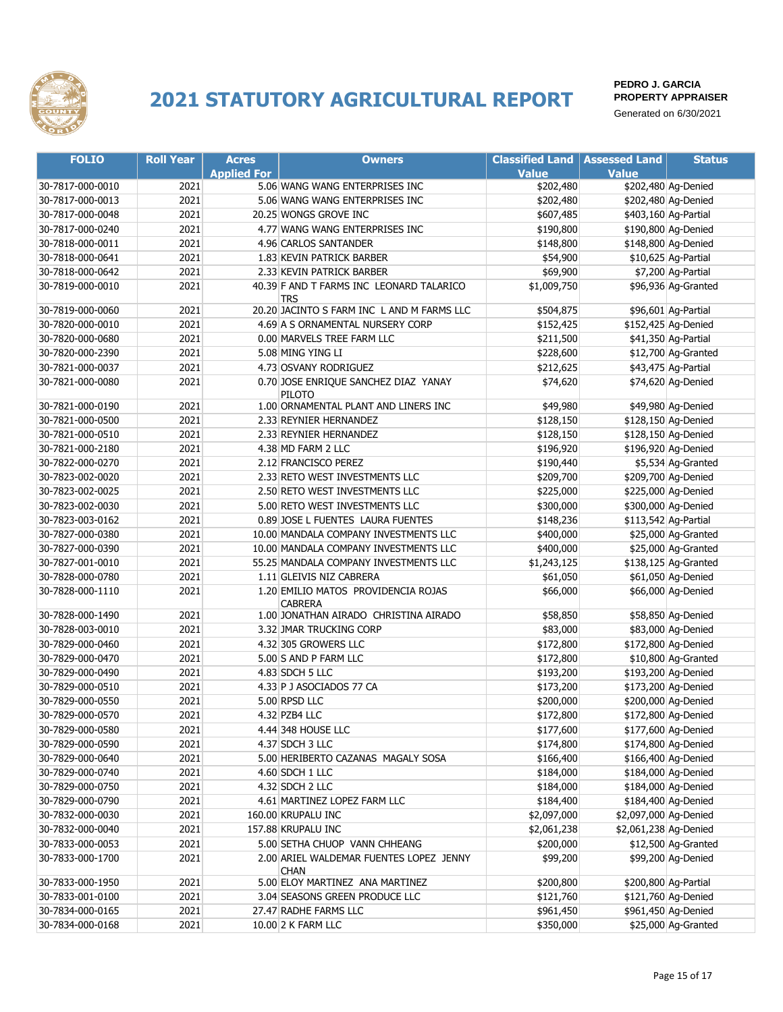

| <b>FOLIO</b>     | <b>Roll Year</b> | <b>Acres</b>       | <b>Owners</b>                                                            | <b>Classified Land   Assessed Land</b> |                       | <b>Status</b>        |
|------------------|------------------|--------------------|--------------------------------------------------------------------------|----------------------------------------|-----------------------|----------------------|
|                  |                  | <b>Applied For</b> |                                                                          | <b>Value</b>                           | <b>Value</b>          |                      |
| 30-7817-000-0010 | 2021             |                    | 5.06 WANG WANG ENTERPRISES INC                                           | \$202,480                              |                       | \$202,480 Ag-Denied  |
| 30-7817-000-0013 | 2021             |                    | 5.06 WANG WANG ENTERPRISES INC                                           | \$202,480                              |                       | \$202,480 Ag-Denied  |
| 30-7817-000-0048 | 2021             |                    | 20.25 WONGS GROVE INC                                                    | \$607,485                              |                       | \$403,160 Ag-Partial |
| 30-7817-000-0240 | 2021             |                    | 4.77 WANG WANG ENTERPRISES INC                                           | \$190,800                              |                       | \$190,800 Ag-Denied  |
| 30-7818-000-0011 | 2021             |                    | 4.96 CARLOS SANTANDER                                                    | \$148,800                              |                       | \$148,800 Ag-Denied  |
| 30-7818-000-0641 | 2021             |                    | 1.83 KEVIN PATRICK BARBER                                                | \$54,900                               |                       | \$10,625 Ag-Partial  |
| 30-7818-000-0642 | 2021             |                    | 2.33 KEVIN PATRICK BARBER                                                | \$69,900                               |                       | \$7,200 Ag-Partial   |
| 30-7819-000-0010 | 2021             |                    | 40.39 F AND T FARMS INC LEONARD TALARICO<br><b>TRS</b>                   | \$1,009,750                            |                       | \$96,936 Ag-Granted  |
| 30-7819-000-0060 | 2021             |                    | 20.20 JACINTO S FARM INC L AND M FARMS LLC                               | \$504,875                              |                       | \$96,601 Ag-Partial  |
| 30-7820-000-0010 | 2021             |                    | 4.69 A S ORNAMENTAL NURSERY CORP                                         | \$152,425                              |                       | \$152,425 Ag-Denied  |
| 30-7820-000-0680 | 2021             |                    | 0.00 MARVELS TREE FARM LLC                                               | \$211,500                              |                       | \$41,350 Ag-Partial  |
| 30-7820-000-2390 | 2021             |                    | 5.08 MING YING LI                                                        | \$228,600                              |                       | \$12,700 Ag-Granted  |
| 30-7821-000-0037 | 2021             |                    | 4.73 OSVANY RODRIGUEZ                                                    | \$212,625                              |                       | \$43,475 Ag-Partial  |
| 30-7821-000-0080 | 2021             |                    | 0.70 JOSE ENRIQUE SANCHEZ DIAZ YANAY<br>PILOTO                           | \$74,620                               |                       | \$74,620 Ag-Denied   |
| 30-7821-000-0190 | 2021             |                    | 1.00 ORNAMENTAL PLANT AND LINERS INC                                     | \$49,980                               |                       | \$49,980 Ag-Denied   |
| 30-7821-000-0500 | 2021             |                    | 2.33 REYNIER HERNANDEZ                                                   | \$128,150                              |                       | \$128,150 Ag-Denied  |
| 30-7821-000-0510 | 2021             |                    | 2.33 REYNIER HERNANDEZ                                                   | \$128,150                              |                       | \$128,150 Ag-Denied  |
| 30-7821-000-2180 | 2021             |                    | 4.38 MD FARM 2 LLC                                                       | \$196,920                              |                       | \$196,920 Ag-Denied  |
| 30-7822-000-0270 | 2021             |                    | 2.12 FRANCISCO PEREZ                                                     | \$190,440                              |                       | \$5,534 Ag-Granted   |
| 30-7823-002-0020 | 2021             |                    | 2.33 RETO WEST INVESTMENTS LLC                                           | \$209,700                              |                       | \$209,700 Ag-Denied  |
| 30-7823-002-0025 | 2021             |                    | 2.50 RETO WEST INVESTMENTS LLC                                           | \$225,000                              |                       | \$225,000 Ag-Denied  |
| 30-7823-002-0030 | 2021             |                    | 5.00 RETO WEST INVESTMENTS LLC                                           | \$300,000                              |                       | \$300,000 Ag-Denied  |
| 30-7823-003-0162 | 2021             |                    | 0.89 JOSE L FUENTES LAURA FUENTES                                        | \$148,236                              |                       | \$113,542 Ag-Partial |
| 30-7827-000-0380 | 2021             |                    | 10.00 MANDALA COMPANY INVESTMENTS LLC                                    | \$400,000                              |                       | \$25,000 Ag-Granted  |
| 30-7827-000-0390 | 2021             |                    | 10.00 MANDALA COMPANY INVESTMENTS LLC                                    | \$400,000                              |                       | \$25,000 Ag-Granted  |
| 30-7827-001-0010 | 2021             |                    | 55.25 MANDALA COMPANY INVESTMENTS LLC                                    | \$1,243,125                            |                       | \$138,125 Ag-Granted |
| 30-7828-000-0780 | 2021             |                    | 1.11 GLEIVIS NIZ CABRERA                                                 | \$61,050                               |                       | \$61,050 Ag-Denied   |
| 30-7828-000-1110 | 2021             |                    | 1.20 EMILIO MATOS PROVIDENCIA ROJAS<br><b>CABRERA</b>                    | \$66,000                               |                       | \$66,000 Ag-Denied   |
| 30-7828-000-1490 | 2021             |                    | 1.00 JONATHAN AIRADO CHRISTINA AIRADO                                    | \$58,850                               |                       | \$58,850 Ag-Denied   |
| 30-7828-003-0010 | 2021             |                    | 3.32 JMAR TRUCKING CORP                                                  | \$83,000                               |                       | \$83,000 Ag-Denied   |
| 30-7829-000-0460 | 2021             |                    | 4.32 305 GROWERS LLC                                                     | \$172,800                              |                       | \$172,800 Ag-Denied  |
| 30-7829-000-0470 | 2021             |                    | 5.00 S AND P FARM LLC                                                    | \$172,800                              |                       | \$10,800 Ag-Granted  |
| 30-7829-000-0490 | 2021             |                    | 4.83 SDCH 5 LLC                                                          | \$193,200                              |                       | \$193,200 Ag-Denied  |
| 30-7829-000-0510 | 2021             |                    | 4.33 P J ASOCIADOS 77 CA                                                 | \$173,200                              |                       | \$173,200 Ag-Denied  |
| 30-7829-000-0550 | 2021             |                    | 5.00 RPSD LLC                                                            | \$200,000                              |                       | \$200,000 Ag-Denied  |
| 30-7829-000-0570 | 2021             |                    | 4.32 PZB4 LLC                                                            | \$172,800                              |                       | \$172,800 Ag-Denied  |
| 30-7829-000-0580 | 2021             |                    | 4.44 348 HOUSE LLC                                                       | \$177,600                              |                       | \$177,600 Ag-Denied  |
| 30-7829-000-0590 | 2021             |                    | 4.37 SDCH 3 LLC                                                          | \$174,800                              |                       | \$174,800 Ag-Denied  |
| 30-7829-000-0640 | 2021             |                    | 5.00 HERIBERTO CAZANAS MAGALY SOSA                                       | \$166,400                              |                       | \$166,400 Ag-Denied  |
| 30-7829-000-0740 | 2021             |                    | 4.60 SDCH 1 LLC                                                          | \$184,000                              |                       | \$184,000 Ag-Denied  |
| 30-7829-000-0750 | 2021             |                    | 4.32 SDCH 2 LLC                                                          | \$184,000                              |                       | \$184,000 Ag-Denied  |
| 30-7829-000-0790 | 2021             |                    | 4.61 MARTINEZ LOPEZ FARM LLC                                             | \$184,400                              |                       | \$184,400 Ag-Denied  |
| 30-7832-000-0030 | 2021             |                    | 160.00 KRUPALU INC                                                       | \$2,097,000                            | \$2,097,000 Ag-Denied |                      |
| 30-7832-000-0040 | 2021             |                    | 157.88 KRUPALU INC                                                       |                                        |                       |                      |
|                  |                  |                    |                                                                          | \$2,061,238                            | \$2,061,238 Ag-Denied |                      |
| 30-7833-000-0053 | 2021             |                    | 5.00 SETHA CHUOP VANN CHHEANG<br>2.00 ARIEL WALDEMAR FUENTES LOPEZ JENNY | \$200,000                              |                       | \$12,500 Ag-Granted  |
| 30-7833-000-1700 | 2021             |                    | <b>CHAN</b>                                                              | \$99,200                               |                       | \$99,200 Ag-Denied   |
| 30-7833-000-1950 | 2021             |                    | 5.00 ELOY MARTINEZ ANA MARTINEZ                                          | \$200,800                              |                       | \$200,800 Ag-Partial |
| 30-7833-001-0100 | 2021             |                    | 3.04 SEASONS GREEN PRODUCE LLC                                           | \$121,760                              |                       | \$121,760 Ag-Denied  |
| 30-7834-000-0165 | 2021             |                    | 27.47 RADHE FARMS LLC                                                    | \$961,450                              |                       | \$961,450 Ag-Denied  |
| 30-7834-000-0168 | 2021             |                    | 10.00 2 K FARM LLC                                                       | \$350,000                              |                       | \$25,000 Ag-Granted  |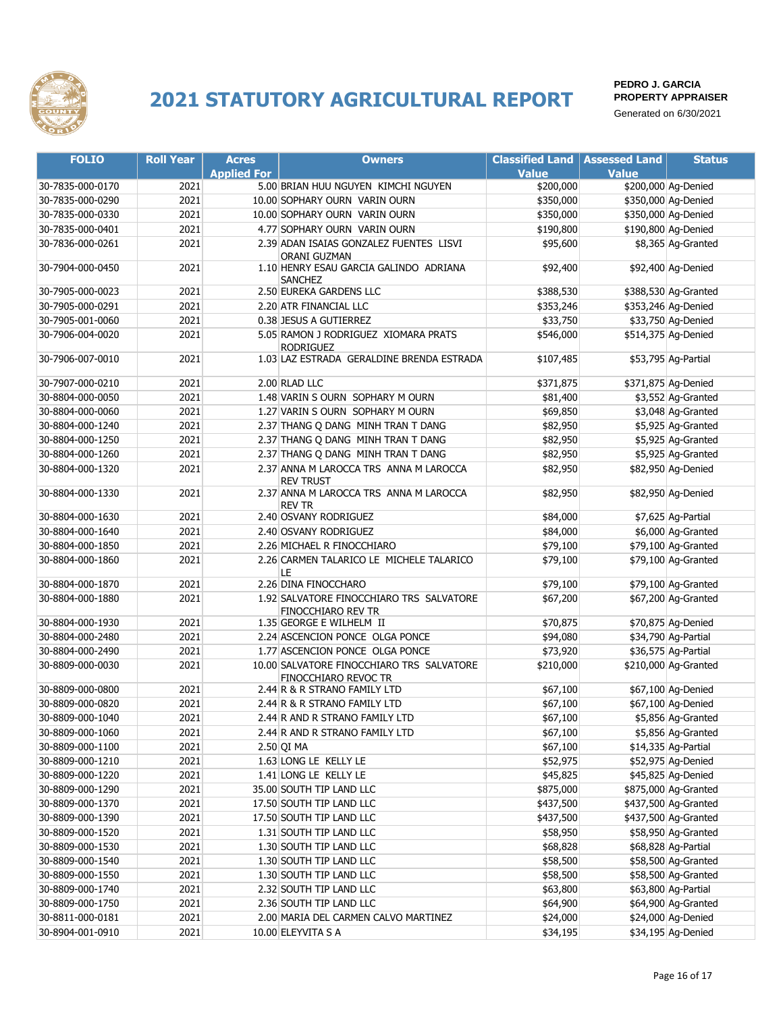

| <b>FOLIO</b>     | <b>Roll Year</b> | <b>Acres</b>       | <b>Owners</b>                                              | <b>Classified Land   Assessed Land</b> |              | <b>Status</b>        |
|------------------|------------------|--------------------|------------------------------------------------------------|----------------------------------------|--------------|----------------------|
|                  |                  | <b>Applied For</b> |                                                            | <b>Value</b>                           | <b>Value</b> |                      |
| 30-7835-000-0170 | 2021             |                    | 5.00 BRIAN HUU NGUYEN KIMCHI NGUYEN                        | \$200,000                              |              | \$200,000 Ag-Denied  |
| 30-7835-000-0290 | 2021             |                    | 10.00 SOPHARY OURN VARIN OURN                              | \$350,000                              |              | \$350,000 Ag-Denied  |
| 30-7835-000-0330 | 2021             |                    | 10.00 SOPHARY OURN VARIN OURN                              | \$350,000                              |              | \$350,000 Ag-Denied  |
| 30-7835-000-0401 | 2021             |                    | 4.77 SOPHARY OURN VARIN OURN                               | \$190,800                              |              | \$190,800 Ag-Denied  |
| 30-7836-000-0261 | 2021             |                    | 2.39 ADAN ISAIAS GONZALEZ FUENTES LISVI                    | \$95,600                               |              | \$8,365 Ag-Granted   |
|                  |                  |                    | ORANI GUZMAN                                               |                                        |              |                      |
| 30-7904-000-0450 | 2021             |                    | 1.10 HENRY ESAU GARCIA GALINDO ADRIANA<br><b>SANCHEZ</b>   | \$92,400                               |              | \$92,400 Ag-Denied   |
| 30-7905-000-0023 | 2021             |                    | 2.50 EUREKA GARDENS LLC                                    | \$388,530                              |              | \$388,530 Ag-Granted |
| 30-7905-000-0291 | 2021             |                    | 2.20 ATR FINANCIAL LLC                                     | \$353,246                              |              | \$353,246 Ag-Denied  |
| 30-7905-001-0060 | 2021             |                    | 0.38 JESUS A GUTIERREZ                                     | \$33,750                               |              | \$33,750 Ag-Denied   |
| 30-7906-004-0020 | 2021             |                    | 5.05 RAMON J RODRIGUEZ XIOMARA PRATS                       | \$546,000                              |              | \$514,375 Ag-Denied  |
|                  |                  |                    | <b>RODRIGUEZ</b>                                           |                                        |              |                      |
| 30-7906-007-0010 | 2021             |                    | 1.03 LAZ ESTRADA GERALDINE BRENDA ESTRADA                  | \$107,485                              |              | \$53,795 Ag-Partial  |
| 30-7907-000-0210 | 2021             |                    | 2.00 RLAD LLC                                              | \$371,875                              |              | \$371,875 Ag-Denied  |
| 30-8804-000-0050 | 2021             |                    | 1.48 VARIN S OURN SOPHARY M OURN                           | \$81,400                               |              | \$3,552 Ag-Granted   |
| 30-8804-000-0060 | 2021             |                    | 1.27 VARIN S OURN SOPHARY M OURN                           | \$69,850                               |              | \$3,048 Ag-Granted   |
| 30-8804-000-1240 | 2021             |                    | 2.37 THANG Q DANG MINH TRAN T DANG                         | \$82,950                               |              | \$5,925 Ag-Granted   |
| 30-8804-000-1250 | 2021             |                    | 2.37 THANG Q DANG MINH TRAN T DANG                         | \$82,950                               |              | \$5,925 Ag-Granted   |
| 30-8804-000-1260 | 2021             |                    | 2.37 THANG Q DANG MINH TRAN T DANG                         | \$82,950                               |              | \$5,925 Ag-Granted   |
| 30-8804-000-1320 | 2021             |                    | 2.37 ANNA M LAROCCA TRS ANNA M LAROCCA                     | \$82,950                               |              | \$82,950 Ag-Denied   |
| 30-8804-000-1330 | 2021             |                    | <b>REV TRUST</b><br>2.37 ANNA M LAROCCA TRS ANNA M LAROCCA | \$82,950                               |              | \$82,950 Ag-Denied   |
|                  |                  |                    | <b>REV TR</b>                                              |                                        |              |                      |
| 30-8804-000-1630 | 2021             |                    | 2.40 OSVANY RODRIGUEZ                                      | \$84,000                               |              | \$7,625 Ag-Partial   |
| 30-8804-000-1640 | 2021             |                    | 2.40 OSVANY RODRIGUEZ                                      | \$84,000                               |              | \$6,000 Ag-Granted   |
| 30-8804-000-1850 | 2021             |                    | 2.26 MICHAEL R FINOCCHIARO                                 | \$79,100                               |              | \$79,100 Ag-Granted  |
| 30-8804-000-1860 | 2021             |                    | 2.26 CARMEN TALARICO LE MICHELE TALARICO<br>LE             | \$79,100                               |              | \$79,100 Ag-Granted  |
| 30-8804-000-1870 | 2021             |                    | 2.26 DINA FINOCCHARO                                       | \$79,100                               |              | \$79,100 Ag-Granted  |
| 30-8804-000-1880 | 2021             |                    | 1.92 SALVATORE FINOCCHIARO TRS SALVATORE                   | \$67,200                               |              | \$67,200 Ag-Granted  |
| 30-8804-000-1930 | 2021             |                    | FINOCCHIARO REV TR<br>1.35 GEORGE E WILHELM II             | \$70,875                               |              | \$70,875 Ag-Denied   |
| 30-8804-000-2480 | 2021             |                    | 2.24 ASCENCION PONCE OLGA PONCE                            | \$94,080                               |              | \$34,790 Ag-Partial  |
| 30-8804-000-2490 | 2021             |                    | 1.77 ASCENCION PONCE OLGA PONCE                            | \$73,920                               |              | \$36,575 Ag-Partial  |
| 30-8809-000-0030 | 2021             |                    | 10.00 SALVATORE FINOCCHIARO TRS SALVATORE                  | \$210,000                              |              | \$210,000 Ag-Granted |
|                  |                  |                    | FINOCCHIARO REVOC TR                                       |                                        |              |                      |
| 30-8809-000-0800 | 2021             |                    | 2.44 R & R STRANO FAMILY LTD                               | \$67,100                               |              | \$67,100 Ag-Denied   |
| 30-8809-000-0820 | 2021             |                    | 2.44 R & R STRANO FAMILY LTD                               | \$67,100                               |              | \$67,100 Ag-Denied   |
| 30-8809-000-1040 | 2021             |                    | 2.44 R AND R STRANO FAMILY LTD                             | \$67,100                               |              | \$5,856 Ag-Granted   |
| 30-8809-000-1060 | 2021             |                    | 2.44 R AND R STRANO FAMILY LTD                             | \$67,100                               |              | \$5,856 Ag-Granted   |
| 30-8809-000-1100 | 2021             |                    | $2.50$ QI MA                                               | \$67,100                               |              | \$14,335 Ag-Partial  |
| 30-8809-000-1210 | 2021             |                    | 1.63 LONG LE KELLY LE                                      | \$52,975                               |              | \$52,975 Ag-Denied   |
| 30-8809-000-1220 | 2021             |                    | 1.41 LONG LE KELLY LE                                      | \$45,825                               |              | \$45,825 Ag-Denied   |
| 30-8809-000-1290 | 2021             |                    | 35.00 SOUTH TIP LAND LLC                                   | \$875,000                              |              | \$875,000 Ag-Granted |
| 30-8809-000-1370 | 2021             |                    | 17.50 SOUTH TIP LAND LLC                                   | \$437,500                              |              | \$437,500 Ag-Granted |
| 30-8809-000-1390 | 2021             |                    | 17.50 SOUTH TIP LAND LLC                                   | \$437,500                              |              | \$437,500 Ag-Granted |
| 30-8809-000-1520 | 2021             |                    | 1.31 SOUTH TIP LAND LLC                                    | \$58,950                               |              | \$58,950 Ag-Granted  |
| 30-8809-000-1530 | 2021             |                    | 1.30 SOUTH TIP LAND LLC                                    | \$68,828                               |              | \$68,828 Ag-Partial  |
| 30-8809-000-1540 | 2021             |                    | 1.30 SOUTH TIP LAND LLC                                    | \$58,500                               |              | \$58,500 Ag-Granted  |
| 30-8809-000-1550 | 2021             |                    | 1.30 SOUTH TIP LAND LLC                                    | \$58,500                               |              | \$58,500 Ag-Granted  |
| 30-8809-000-1740 | 2021             |                    | 2.32 SOUTH TIP LAND LLC                                    | \$63,800                               |              | \$63,800 Ag-Partial  |
| 30-8809-000-1750 | 2021             |                    | 2.36 SOUTH TIP LAND LLC                                    | \$64,900                               |              | \$64,900 Ag-Granted  |
| 30-8811-000-0181 | 2021             |                    | 2.00 MARIA DEL CARMEN CALVO MARTINEZ                       | \$24,000                               |              | \$24,000 Ag-Denied   |
| 30-8904-001-0910 | 2021             |                    | 10.00 ELEYVITA S A                                         | \$34,195                               |              | \$34,195 Ag-Denied   |
|                  |                  |                    |                                                            |                                        |              |                      |